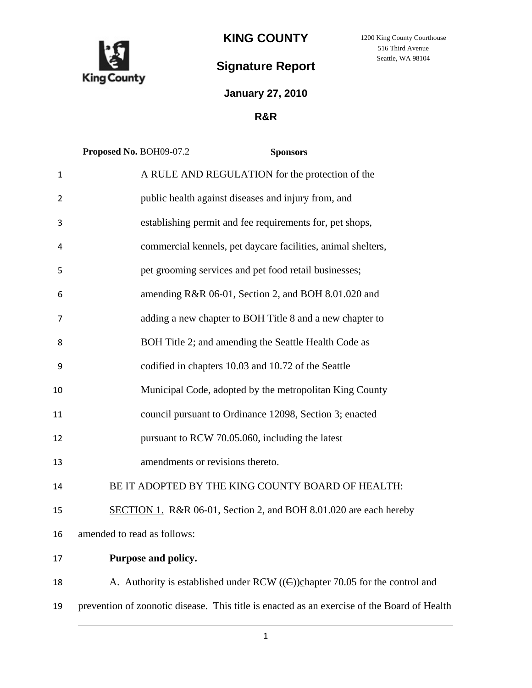

# **KING COUNTY**

# **Signature Report**

# **January 27, 2010**

# **R&R**

|                | Proposed No. BOH09-07.2<br><b>Sponsors</b>                                                  |
|----------------|---------------------------------------------------------------------------------------------|
| $\mathbf{1}$   | A RULE AND REGULATION for the protection of the                                             |
| 2              | public health against diseases and injury from, and                                         |
| 3              | establishing permit and fee requirements for, pet shops,                                    |
| 4              | commercial kennels, pet daycare facilities, animal shelters,                                |
| 5              | pet grooming services and pet food retail businesses;                                       |
| 6              | amending R&R 06-01, Section 2, and BOH 8.01.020 and                                         |
| $\overline{7}$ | adding a new chapter to BOH Title 8 and a new chapter to                                    |
| 8              | BOH Title 2; and amending the Seattle Health Code as                                        |
| 9              | codified in chapters 10.03 and 10.72 of the Seattle                                         |
| 10             | Municipal Code, adopted by the metropolitan King County                                     |
| 11             | council pursuant to Ordinance 12098, Section 3; enacted                                     |
| 12             | pursuant to RCW 70.05.060, including the latest                                             |
| 13             | amendments or revisions thereto.                                                            |
| 14             | BE IT ADOPTED BY THE KING COUNTY BOARD OF HEALTH:                                           |
| 15             | SECTION 1. R&R 06-01, Section 2, and BOH 8.01.020 are each hereby                           |
| 16             | amended to read as follows:                                                                 |
| 17             | Purpose and policy.                                                                         |
| 18             | A. Authority is established under RCW $((\in))$ chapter 70.05 for the control and           |
| 19             | prevention of zoonotic disease. This title is enacted as an exercise of the Board of Health |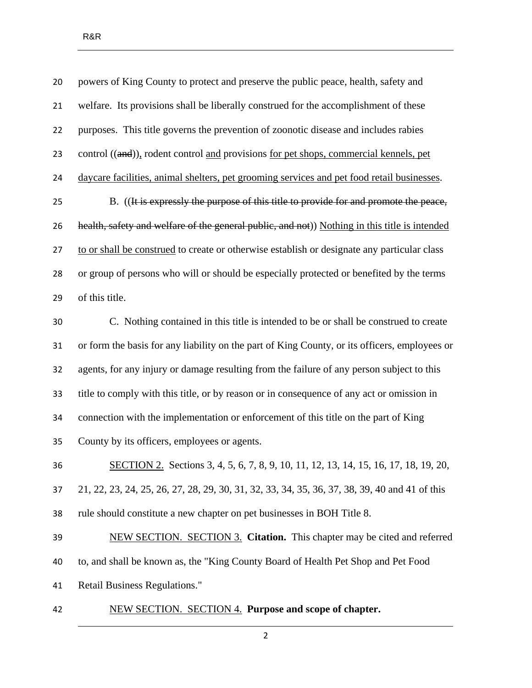| 20 | powers of King County to protect and preserve the public peace, health, safety and            |
|----|-----------------------------------------------------------------------------------------------|
| 21 | welfare. Its provisions shall be liberally construed for the accomplishment of these          |
| 22 | purposes. This title governs the prevention of zoonotic disease and includes rabies           |
| 23 | control ((and)), rodent control and provisions for pet shops, commercial kennels, pet         |
| 24 | daycare facilities, animal shelters, pet grooming services and pet food retail businesses.    |
| 25 | B. ((It is expressly the purpose of this title to provide for and promote the peace,          |
| 26 | health, safety and welfare of the general public, and not)) Nothing in this title is intended |
| 27 | to or shall be construed to create or otherwise establish or designate any particular class   |
| 28 | or group of persons who will or should be especially protected or benefited by the terms      |
| 29 | of this title.                                                                                |
| 30 | C. Nothing contained in this title is intended to be or shall be construed to create          |
| 31 | or form the basis for any liability on the part of King County, or its officers, employees or |
| 32 | agents, for any injury or damage resulting from the failure of any person subject to this     |
| 33 | title to comply with this title, or by reason or in consequence of any act or omission in     |
| 34 | connection with the implementation or enforcement of this title on the part of King           |
| 35 | County by its officers, employees or agents.                                                  |
| 36 | SECTION 2. Sections 3, 4, 5, 6, 7, 8, 9, 10, 11, 12, 13, 14, 15, 16, 17, 18, 19, 20,          |
| 37 | 21, 22, 23, 24, 25, 26, 27, 28, 29, 30, 31, 32, 33, 34, 35, 36, 37, 38, 39, 40 and 41 of this |
| 38 | rule should constitute a new chapter on pet businesses in BOH Title 8.                        |
| 39 | NEW SECTION. SECTION 3. Citation. This chapter may be cited and referred                      |
| 40 | to, and shall be known as, the "King County Board of Health Pet Shop and Pet Food             |
| 41 | Retail Business Regulations."                                                                 |
|    |                                                                                               |

NEW SECTION. SECTION 4. **Purpose and scope of chapter.**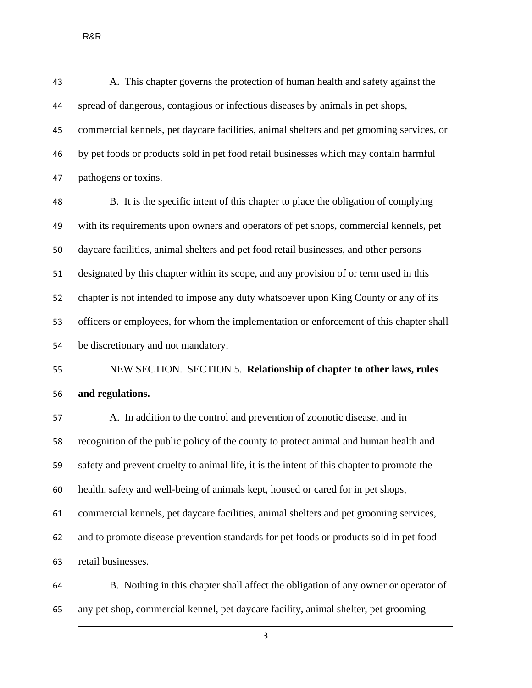| 43 | A. This chapter governs the protection of human health and safety against the             |
|----|-------------------------------------------------------------------------------------------|
| 44 | spread of dangerous, contagious or infectious diseases by animals in pet shops,           |
| 45 | commercial kennels, pet daycare facilities, animal shelters and pet grooming services, or |
| 46 | by pet foods or products sold in pet food retail businesses which may contain harmful     |
| 47 | pathogens or toxins.                                                                      |
| 48 | B. It is the specific intent of this chapter to place the obligation of complying         |
| 49 | with its requirements upon owners and operators of pet shops, commercial kennels, pet     |
| 50 | daycare facilities, animal shelters and pet food retail businesses, and other persons     |
| 51 | designated by this chapter within its scope, and any provision of or term used in this    |

 officers or employees, for whom the implementation or enforcement of this chapter shall be discretionary and not mandatory. NEW SECTION. SECTION 5. **Relationship of chapter to other laws, rules** 

chapter is not intended to impose any duty whatsoever upon King County or any of its

## **and regulations.**

 A. In addition to the control and prevention of zoonotic disease, and in recognition of the public policy of the county to protect animal and human health and safety and prevent cruelty to animal life, it is the intent of this chapter to promote the health, safety and well-being of animals kept, housed or cared for in pet shops, commercial kennels, pet daycare facilities, animal shelters and pet grooming services, and to promote disease prevention standards for pet foods or products sold in pet food retail businesses.

 B. Nothing in this chapter shall affect the obligation of any owner or operator of any pet shop, commercial kennel, pet daycare facility, animal shelter, pet grooming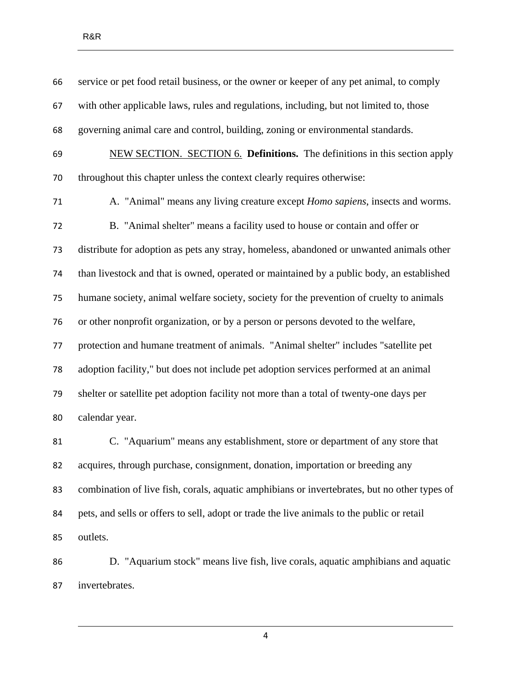service or pet food retail business, or the owner or keeper of any pet animal, to comply with other applicable laws, rules and regulations, including, but not limited to, those governing animal care and control, building, zoning or environmental standards. NEW SECTION. SECTION 6. **Definitions.** The definitions in this section apply throughout this chapter unless the context clearly requires otherwise: A. "Animal" means any living creature except *Homo sapiens*, insects and worms. B. "Animal shelter" means a facility used to house or contain and offer or distribute for adoption as pets any stray, homeless, abandoned or unwanted animals other than livestock and that is owned, operated or maintained by a public body, an established humane society, animal welfare society, society for the prevention of cruelty to animals or other nonprofit organization, or by a person or persons devoted to the welfare, protection and humane treatment of animals. "Animal shelter" includes "satellite pet adoption facility," but does not include pet adoption services performed at an animal shelter or satellite pet adoption facility not more than a total of twenty-one days per calendar year. C. "Aquarium" means any establishment, store or department of any store that acquires, through purchase, consignment, donation, importation or breeding any combination of live fish, corals, aquatic amphibians or invertebrates, but no other types of

 pets, and sells or offers to sell, adopt or trade the live animals to the public or retail outlets.

 D. "Aquarium stock" means live fish, live corals, aquatic amphibians and aquatic invertebrates.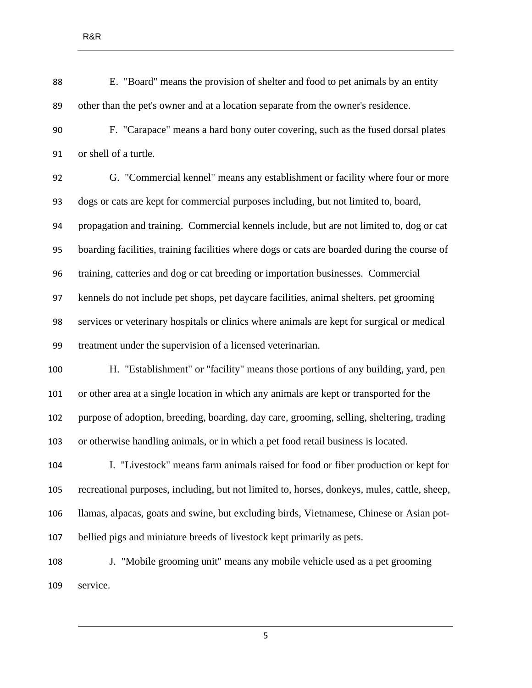E. "Board" means the provision of shelter and food to pet animals by an entity other than the pet's owner and at a location separate from the owner's residence.

 F. "Carapace" means a hard bony outer covering, such as the fused dorsal plates or shell of a turtle.

 G. "Commercial kennel" means any establishment or facility where four or more dogs or cats are kept for commercial purposes including, but not limited to, board, propagation and training. Commercial kennels include, but are not limited to, dog or cat boarding facilities, training facilities where dogs or cats are boarded during the course of training, catteries and dog or cat breeding or importation businesses. Commercial kennels do not include pet shops, pet daycare facilities, animal shelters, pet grooming services or veterinary hospitals or clinics where animals are kept for surgical or medical treatment under the supervision of a licensed veterinarian.

 H. "Establishment" or "facility" means those portions of any building, yard, pen or other area at a single location in which any animals are kept or transported for the purpose of adoption, breeding, boarding, day care, grooming, selling, sheltering, trading or otherwise handling animals, or in which a pet food retail business is located.

 I. "Livestock" means farm animals raised for food or fiber production or kept for recreational purposes, including, but not limited to, horses, donkeys, mules, cattle, sheep, llamas, alpacas, goats and swine, but excluding birds, Vietnamese, Chinese or Asian pot-bellied pigs and miniature breeds of livestock kept primarily as pets.

 J. "Mobile grooming unit" means any mobile vehicle used as a pet grooming service.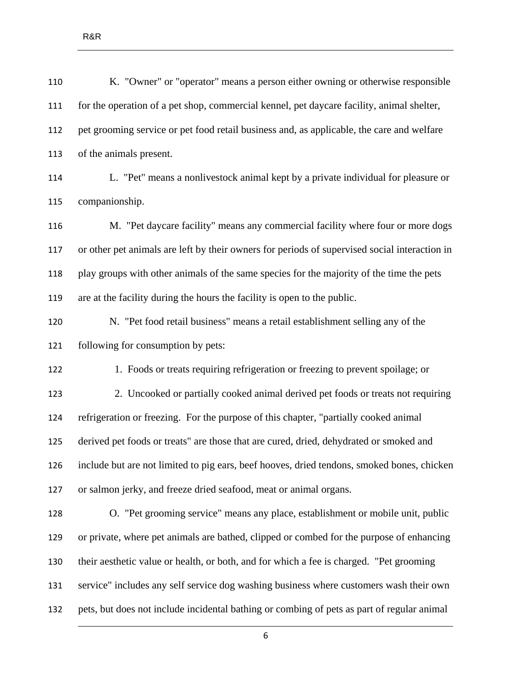| K. "Owner" or "operator" means a person either owning or otherwise responsible                |
|-----------------------------------------------------------------------------------------------|
| for the operation of a pet shop, commercial kennel, pet daycare facility, animal shelter,     |
| pet grooming service or pet food retail business and, as applicable, the care and welfare     |
| of the animals present.                                                                       |
| L. "Pet" means a nonlivestock animal kept by a private individual for pleasure or             |
| companionship.                                                                                |
| M. "Pet daycare facility" means any commercial facility where four or more dogs               |
| or other pet animals are left by their owners for periods of supervised social interaction in |
| play groups with other animals of the same species for the majority of the time the pets      |
| are at the facility during the hours the facility is open to the public.                      |
| N. "Pet food retail business" means a retail establishment selling any of the                 |
| following for consumption by pets:                                                            |
| 1. Foods or treats requiring refrigeration or freezing to prevent spoilage; or                |
| 2. Uncooked or partially cooked animal derived pet foods or treats not requiring              |
| refrigeration or freezing. For the purpose of this chapter, "partially cooked animal          |
| derived pet foods or treats" are those that are cured, dried, dehydrated or smoked and        |
| include but are not limited to pig ears, beef hooves, dried tendons, smoked bones, chicken    |
| or salmon jerky, and freeze dried seafood, meat or animal organs.                             |
| O. "Pet grooming service" means any place, establishment or mobile unit, public               |
| or private, where pet animals are bathed, clipped or combed for the purpose of enhancing      |
| their aesthetic value or health, or both, and for which a fee is charged. "Pet grooming       |
| service" includes any self service dog washing business where customers wash their own        |
| pets, but does not include incidental bathing or combing of pets as part of regular animal    |
|                                                                                               |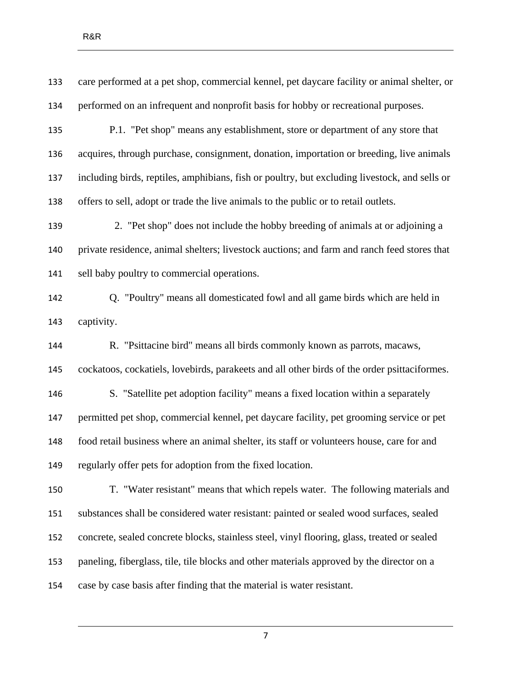| 133 | care performed at a pet shop, commercial kennel, pet daycare facility or animal shelter, or   |
|-----|-----------------------------------------------------------------------------------------------|
| 134 | performed on an infrequent and nonprofit basis for hobby or recreational purposes.            |
| 135 | P.1. "Pet shop" means any establishment, store or department of any store that                |
| 136 | acquires, through purchase, consignment, donation, importation or breeding, live animals      |
| 137 | including birds, reptiles, amphibians, fish or poultry, but excluding livestock, and sells or |
| 138 | offers to sell, adopt or trade the live animals to the public or to retail outlets.           |
| 139 | 2. "Pet shop" does not include the hobby breeding of animals at or adjoining a                |
| 140 | private residence, animal shelters; livestock auctions; and farm and ranch feed stores that   |
| 141 | sell baby poultry to commercial operations.                                                   |
| 142 | Q. "Poultry" means all domesticated fowl and all game birds which are held in                 |
| 143 | captivity.                                                                                    |
| 144 | R. "Psittacine bird" means all birds commonly known as parrots, macaws,                       |
| 145 | cockatoos, cockatiels, lovebirds, parakeets and all other birds of the order psittaciformes.  |
| 146 | S. "Satellite pet adoption facility" means a fixed location within a separately               |
| 147 | permitted pet shop, commercial kennel, pet daycare facility, pet grooming service or pet      |
| 148 | food retail business where an animal shelter, its staff or volunteers house, care for and     |
| 149 | regularly offer pets for adoption from the fixed location.                                    |
| 150 | T. "Water resistant" means that which repels water. The following materials and               |
| 151 | substances shall be considered water resistant: painted or sealed wood surfaces, sealed       |
| 152 | concrete, sealed concrete blocks, stainless steel, vinyl flooring, glass, treated or sealed   |
| 153 | paneling, fiberglass, tile, tile blocks and other materials approved by the director on a     |
| 154 | case by case basis after finding that the material is water resistant.                        |
|     |                                                                                               |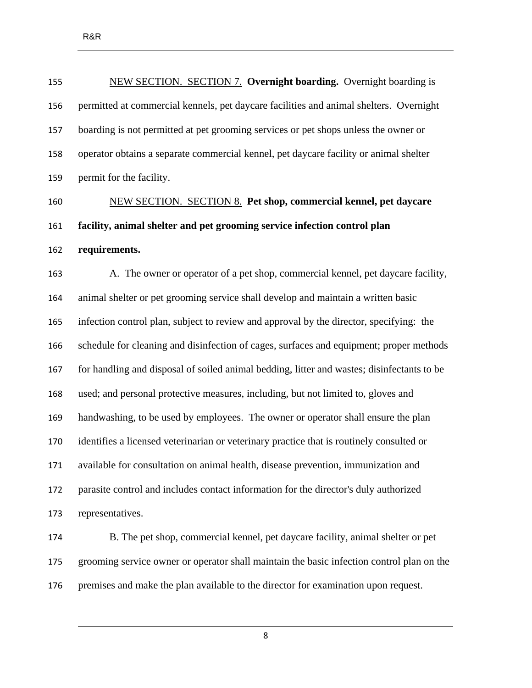| 155 | NEW SECTION. SECTION 7. Overnight boarding. Overnight boarding is                          |
|-----|--------------------------------------------------------------------------------------------|
| 156 | permitted at commercial kennels, pet daycare facilities and animal shelters. Overnight     |
| 157 | boarding is not permitted at pet grooming services or pet shops unless the owner or        |
| 158 | operator obtains a separate commercial kennel, pet daycare facility or animal shelter      |
| 159 | permit for the facility.                                                                   |
| 160 | <b>NEW SECTION. SECTION 8. Pet shop, commercial kennel, pet daycare</b>                    |
| 161 | facility, animal shelter and pet grooming service infection control plan                   |
| 162 | requirements.                                                                              |
| 163 | A. The owner or operator of a pet shop, commercial kennel, pet daycare facility,           |
| 164 | animal shelter or pet grooming service shall develop and maintain a written basic          |
| 165 | infection control plan, subject to review and approval by the director, specifying: the    |
| 166 | schedule for cleaning and disinfection of cages, surfaces and equipment; proper methods    |
| 167 | for handling and disposal of soiled animal bedding, litter and wastes; disinfectants to be |
| 168 | used; and personal protective measures, including, but not limited to, gloves and          |
| 169 | handwashing, to be used by employees. The owner or operator shall ensure the plan          |
| 170 | identifies a licensed veterinarian or veterinary practice that is routinely consulted or   |
| 171 | available for consultation on animal health, disease prevention, immunization and          |
| 172 | parasite control and includes contact information for the director's duly authorized       |
| 173 | representatives.                                                                           |
| 174 | B. The pet shop, commercial kennel, pet daycare facility, animal shelter or pet            |
| 175 | grooming service owner or operator shall maintain the basic infection control plan on the  |
| 176 | premises and make the plan available to the director for examination upon request.         |
|     |                                                                                            |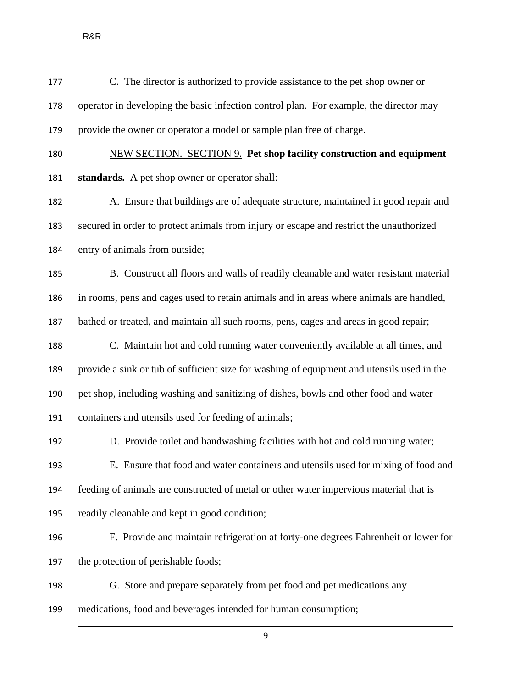- C. The director is authorized to provide assistance to the pet shop owner or operator in developing the basic infection control plan. For example, the director may provide the owner or operator a model or sample plan free of charge. NEW SECTION. SECTION 9. **Pet shop facility construction and equipment standards.** A pet shop owner or operator shall: A. Ensure that buildings are of adequate structure, maintained in good repair and secured in order to protect animals from injury or escape and restrict the unauthorized
- entry of animals from outside;
- B. Construct all floors and walls of readily cleanable and water resistant material in rooms, pens and cages used to retain animals and in areas where animals are handled, bathed or treated, and maintain all such rooms, pens, cages and areas in good repair;
- C. Maintain hot and cold running water conveniently available at all times, and provide a sink or tub of sufficient size for washing of equipment and utensils used in the pet shop, including washing and sanitizing of dishes, bowls and other food and water containers and utensils used for feeding of animals;
- D. Provide toilet and handwashing facilities with hot and cold running water; E. Ensure that food and water containers and utensils used for mixing of food and feeding of animals are constructed of metal or other water impervious material that is readily cleanable and kept in good condition;
	-
- F. Provide and maintain refrigeration at forty-one degrees Fahrenheit or lower for the protection of perishable foods;
- G. Store and prepare separately from pet food and pet medications any
- medications, food and beverages intended for human consumption;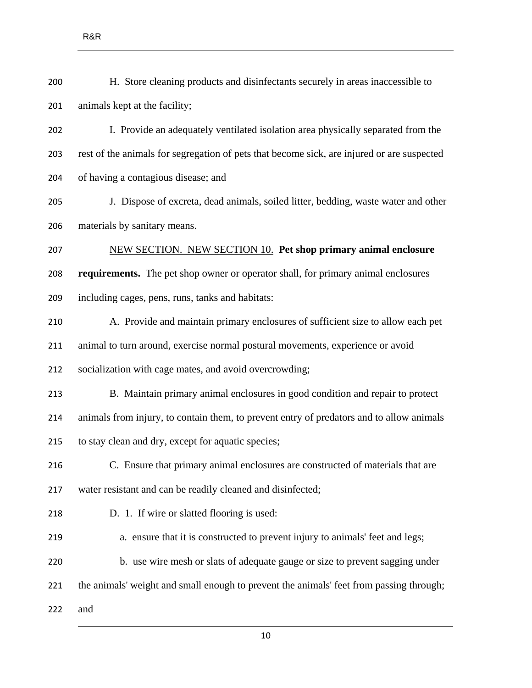| 200 | H. Store cleaning products and disinfectants securely in areas inaccessible to             |
|-----|--------------------------------------------------------------------------------------------|
| 201 | animals kept at the facility;                                                              |
| 202 | I. Provide an adequately ventilated isolation area physically separated from the           |
| 203 | rest of the animals for segregation of pets that become sick, are injured or are suspected |
| 204 | of having a contagious disease; and                                                        |
| 205 | J. Dispose of excreta, dead animals, soiled litter, bedding, waste water and other         |
| 206 | materials by sanitary means.                                                               |
| 207 | NEW SECTION. NEW SECTION 10. Pet shop primary animal enclosure                             |
| 208 | requirements. The pet shop owner or operator shall, for primary animal enclosures          |
| 209 | including cages, pens, runs, tanks and habitats:                                           |
| 210 | A. Provide and maintain primary enclosures of sufficient size to allow each pet            |
| 211 | animal to turn around, exercise normal postural movements, experience or avoid             |
| 212 | socialization with cage mates, and avoid overcrowding;                                     |
| 213 | B. Maintain primary animal enclosures in good condition and repair to protect              |
| 214 | animals from injury, to contain them, to prevent entry of predators and to allow animals   |
| 215 | to stay clean and dry, except for aquatic species;                                         |
| 216 | C. Ensure that primary animal enclosures are constructed of materials that are             |
| 217 | water resistant and can be readily cleaned and disinfected;                                |
| 218 | D. 1. If wire or slatted flooring is used:                                                 |
| 219 | a. ensure that it is constructed to prevent injury to animals' feet and legs;              |
| 220 | b. use wire mesh or slats of adequate gauge or size to prevent sagging under               |
| 221 | the animals' weight and small enough to prevent the animals' feet from passing through;    |
| 222 | and                                                                                        |
|     |                                                                                            |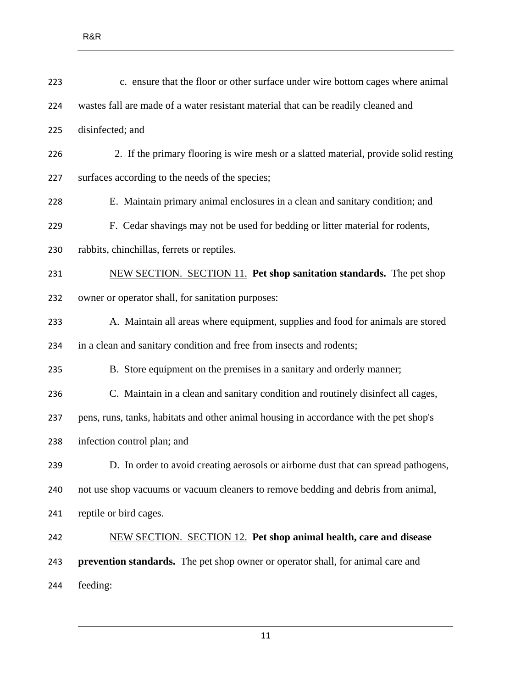| 223 | c. ensure that the floor or other surface under wire bottom cages where animal         |
|-----|----------------------------------------------------------------------------------------|
| 224 | wastes fall are made of a water resistant material that can be readily cleaned and     |
| 225 | disinfected; and                                                                       |
| 226 | 2. If the primary flooring is wire mesh or a slatted material, provide solid resting   |
| 227 | surfaces according to the needs of the species;                                        |
| 228 | E. Maintain primary animal enclosures in a clean and sanitary condition; and           |
| 229 | F. Cedar shavings may not be used for bedding or litter material for rodents,          |
| 230 | rabbits, chinchillas, ferrets or reptiles.                                             |
| 231 | NEW SECTION. SECTION 11. Pet shop sanitation standards. The pet shop                   |
| 232 | owner or operator shall, for sanitation purposes:                                      |
| 233 | A. Maintain all areas where equipment, supplies and food for animals are stored        |
| 234 | in a clean and sanitary condition and free from insects and rodents;                   |
| 235 | B. Store equipment on the premises in a sanitary and orderly manner;                   |
| 236 | C. Maintain in a clean and sanitary condition and routinely disinfect all cages,       |
| 237 | pens, runs, tanks, habitats and other animal housing in accordance with the pet shop's |
| 238 | infection control plan; and                                                            |
| 239 | D. In order to avoid creating aerosols or airborne dust that can spread pathogens,     |
| 240 | not use shop vacuums or vacuum cleaners to remove bedding and debris from animal,      |
| 241 | reptile or bird cages.                                                                 |
| 242 | <b>NEW SECTION. SECTION 12. Pet shop animal health, care and disease</b>               |
| 243 | <b>prevention standards.</b> The pet shop owner or operator shall, for animal care and |
| 244 | feeding:                                                                               |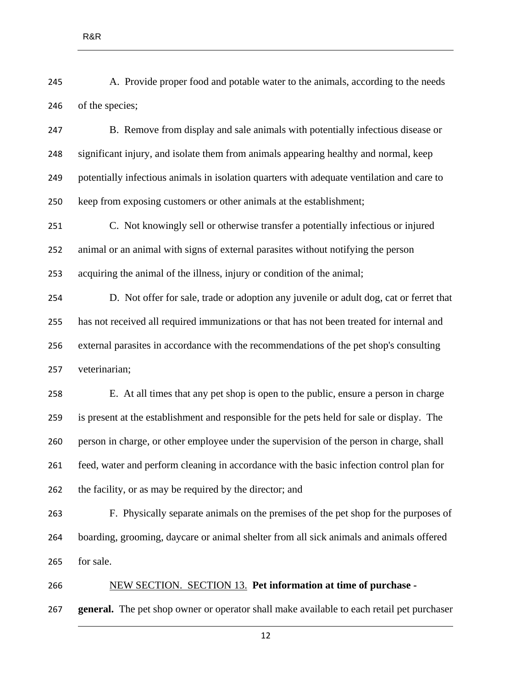- A. Provide proper food and potable water to the animals, according to the needs of the species;
- B. Remove from display and sale animals with potentially infectious disease or significant injury, and isolate them from animals appearing healthy and normal, keep potentially infectious animals in isolation quarters with adequate ventilation and care to keep from exposing customers or other animals at the establishment;

 C. Not knowingly sell or otherwise transfer a potentially infectious or injured animal or an animal with signs of external parasites without notifying the person acquiring the animal of the illness, injury or condition of the animal;

 D. Not offer for sale, trade or adoption any juvenile or adult dog, cat or ferret that has not received all required immunizations or that has not been treated for internal and external parasites in accordance with the recommendations of the pet shop's consulting veterinarian;

 E. At all times that any pet shop is open to the public, ensure a person in charge is present at the establishment and responsible for the pets held for sale or display. The person in charge, or other employee under the supervision of the person in charge, shall feed, water and perform cleaning in accordance with the basic infection control plan for the facility, or as may be required by the director; and

 F. Physically separate animals on the premises of the pet shop for the purposes of boarding, grooming, daycare or animal shelter from all sick animals and animals offered for sale.

 NEW SECTION. SECTION 13. **Pet information at time of purchase - general.** The pet shop owner or operator shall make available to each retail pet purchaser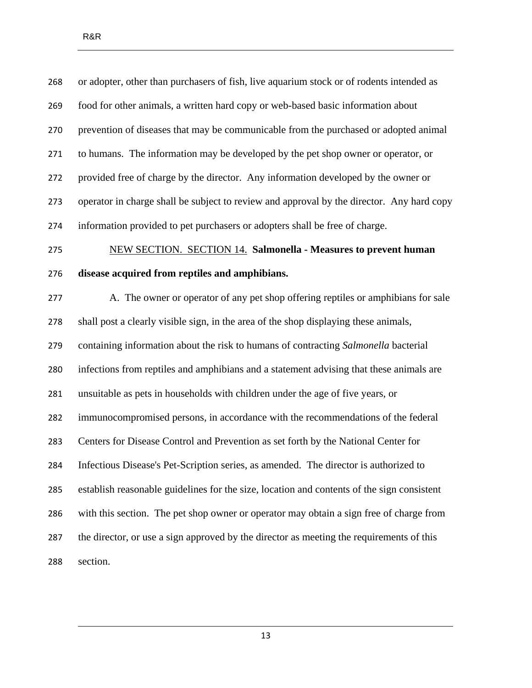| 268 | or adopter, other than purchasers of fish, live aquarium stock or of rodents intended as   |
|-----|--------------------------------------------------------------------------------------------|
| 269 | food for other animals, a written hard copy or web-based basic information about           |
| 270 | prevention of diseases that may be communicable from the purchased or adopted animal       |
| 271 | to humans. The information may be developed by the pet shop owner or operator, or          |
| 272 | provided free of charge by the director. Any information developed by the owner or         |
| 273 | operator in charge shall be subject to review and approval by the director. Any hard copy  |
| 274 | information provided to pet purchasers or adopters shall be free of charge.                |
| 275 | <b>NEW SECTION. SECTION 14. Salmonella - Measures to prevent human</b>                     |
| 276 | disease acquired from reptiles and amphibians.                                             |
| 277 | A. The owner or operator of any pet shop offering reptiles or amphibians for sale          |
| 278 | shall post a clearly visible sign, in the area of the shop displaying these animals,       |
| 279 | containing information about the risk to humans of contracting Salmonella bacterial        |
| 280 | infections from reptiles and amphibians and a statement advising that these animals are    |
| 281 | unsuitable as pets in households with children under the age of five years, or             |
| 282 | immunocompromised persons, in accordance with the recommendations of the federal           |
| 283 | Centers for Disease Control and Prevention as set forth by the National Center for         |
| 284 | Infectious Disease's Pet-Scription series, as amended. The director is authorized to       |
| 285 | establish reasonable guidelines for the size, location and contents of the sign consistent |
| 286 | with this section. The pet shop owner or operator may obtain a sign free of charge from    |
| 287 | the director, or use a sign approved by the director as meeting the requirements of this   |
| 288 | section.                                                                                   |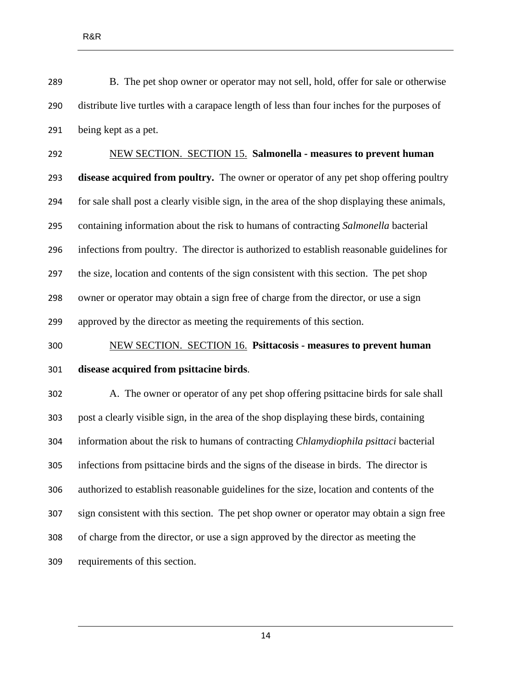B. The pet shop owner or operator may not sell, hold, offer for sale or otherwise distribute live turtles with a carapace length of less than four inches for the purposes of being kept as a pet.

 NEW SECTION. SECTION 15. **Salmonella - measures to prevent human disease acquired from poultry.** The owner or operator of any pet shop offering poultry for sale shall post a clearly visible sign, in the area of the shop displaying these animals, containing information about the risk to humans of contracting *Salmonella* bacterial infections from poultry. The director is authorized to establish reasonable guidelines for the size, location and contents of the sign consistent with this section. The pet shop owner or operator may obtain a sign free of charge from the director, or use a sign approved by the director as meeting the requirements of this section.

 NEW SECTION. SECTION 16. **Psittacosis - measures to prevent human disease acquired from psittacine birds**.

 A. The owner or operator of any pet shop offering psittacine birds for sale shall post a clearly visible sign, in the area of the shop displaying these birds, containing information about the risk to humans of contracting *Chlamydiophila psittaci* bacterial infections from psittacine birds and the signs of the disease in birds. The director is authorized to establish reasonable guidelines for the size, location and contents of the sign consistent with this section. The pet shop owner or operator may obtain a sign free of charge from the director, or use a sign approved by the director as meeting the requirements of this section.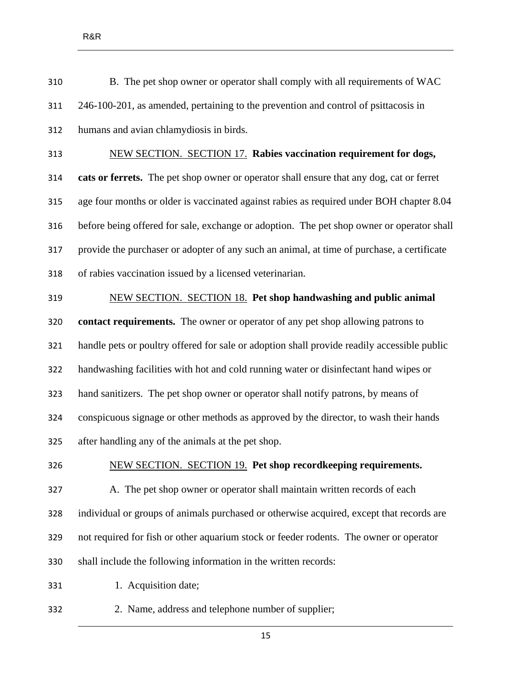B. The pet shop owner or operator shall comply with all requirements of WAC 246-100-201, as amended, pertaining to the prevention and control of psittacosis in humans and avian chlamydiosis in birds. NEW SECTION. SECTION 17. **Rabies vaccination requirement for dogs, cats or ferrets.** The pet shop owner or operator shall ensure that any dog, cat or ferret age four months or older is vaccinated against rabies as required under BOH chapter 8.04

 before being offered for sale, exchange or adoption. The pet shop owner or operator shall provide the purchaser or adopter of any such an animal, at time of purchase, a certificate of rabies vaccination issued by a licensed veterinarian.

#### NEW SECTION. SECTION 18. **Pet shop handwashing and public animal**

 **contact requirements.** The owner or operator of any pet shop allowing patrons to handle pets or poultry offered for sale or adoption shall provide readily accessible public handwashing facilities with hot and cold running water or disinfectant hand wipes or hand sanitizers. The pet shop owner or operator shall notify patrons, by means of conspicuous signage or other methods as approved by the director, to wash their hands after handling any of the animals at the pet shop.

#### NEW SECTION. SECTION 19. **Pet shop recordkeeping requirements.**

 A. The pet shop owner or operator shall maintain written records of each individual or groups of animals purchased or otherwise acquired, except that records are not required for fish or other aquarium stock or feeder rodents. The owner or operator shall include the following information in the written records:

331 1. Acquisition date;

2. Name, address and telephone number of supplier;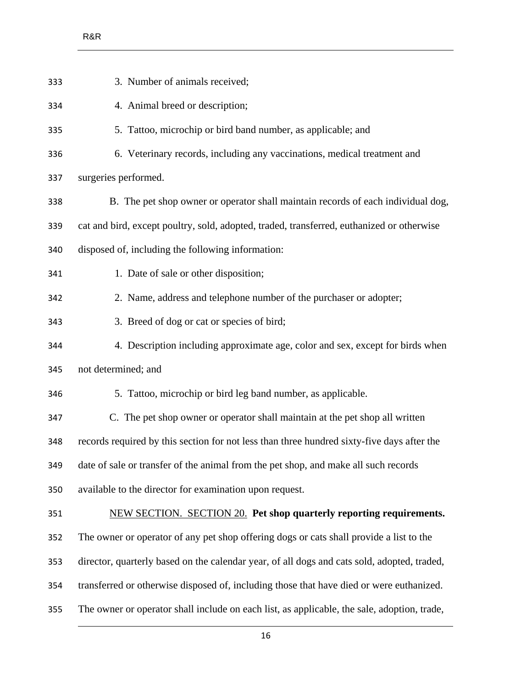| 333 | 3. Number of animals received;                                                              |
|-----|---------------------------------------------------------------------------------------------|
| 334 | 4. Animal breed or description;                                                             |
| 335 | 5. Tattoo, microchip or bird band number, as applicable; and                                |
| 336 | 6. Veterinary records, including any vaccinations, medical treatment and                    |
| 337 | surgeries performed.                                                                        |
| 338 | B. The pet shop owner or operator shall maintain records of each individual dog,            |
| 339 | cat and bird, except poultry, sold, adopted, traded, transferred, euthanized or otherwise   |
| 340 | disposed of, including the following information:                                           |
| 341 | 1. Date of sale or other disposition;                                                       |
| 342 | 2. Name, address and telephone number of the purchaser or adopter;                          |
| 343 | 3. Breed of dog or cat or species of bird;                                                  |
| 344 | 4. Description including approximate age, color and sex, except for birds when              |
| 345 | not determined; and                                                                         |
| 346 | 5. Tattoo, microchip or bird leg band number, as applicable.                                |
| 347 | C. The pet shop owner or operator shall maintain at the pet shop all written                |
| 348 | records required by this section for not less than three hundred sixty-five days after the  |
| 349 | date of sale or transfer of the animal from the pet shop, and make all such records         |
| 350 | available to the director for examination upon request.                                     |
| 351 | <b>NEW SECTION. SECTION 20. Pet shop quarterly reporting requirements.</b>                  |
| 352 | The owner or operator of any pet shop offering dogs or cats shall provide a list to the     |
| 353 | director, quarterly based on the calendar year, of all dogs and cats sold, adopted, traded, |
| 354 | transferred or otherwise disposed of, including those that have died or were euthanized.    |
| 355 | The owner or operator shall include on each list, as applicable, the sale, adoption, trade, |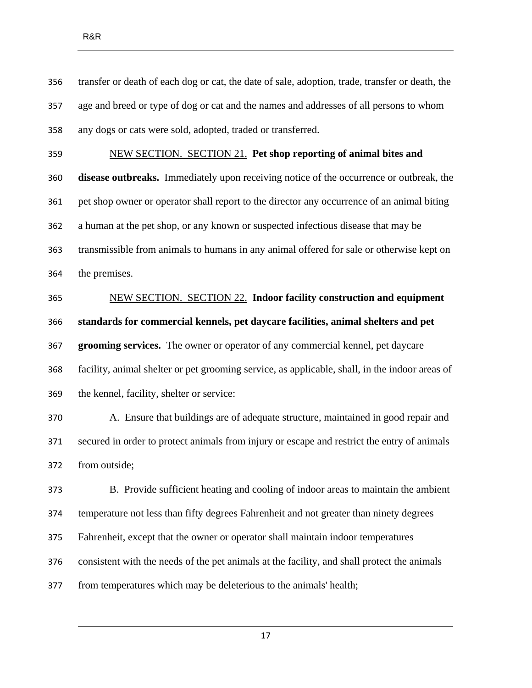transfer or death of each dog or cat, the date of sale, adoption, trade, transfer or death, the age and breed or type of dog or cat and the names and addresses of all persons to whom any dogs or cats were sold, adopted, traded or transferred.

 NEW SECTION. SECTION 21. **Pet shop reporting of animal bites and disease outbreaks.** Immediately upon receiving notice of the occurrence or outbreak, the

 pet shop owner or operator shall report to the director any occurrence of an animal biting a human at the pet shop, or any known or suspected infectious disease that may be transmissible from animals to humans in any animal offered for sale or otherwise kept on the premises.

 NEW SECTION. SECTION 22. **Indoor facility construction and equipment standards for commercial kennels, pet daycare facilities, animal shelters and pet grooming services.** The owner or operator of any commercial kennel, pet daycare facility, animal shelter or pet grooming service, as applicable, shall, in the indoor areas of the kennel, facility, shelter or service:

 A. Ensure that buildings are of adequate structure, maintained in good repair and secured in order to protect animals from injury or escape and restrict the entry of animals from outside;

 B. Provide sufficient heating and cooling of indoor areas to maintain the ambient temperature not less than fifty degrees Fahrenheit and not greater than ninety degrees Fahrenheit, except that the owner or operator shall maintain indoor temperatures consistent with the needs of the pet animals at the facility, and shall protect the animals from temperatures which may be deleterious to the animals' health;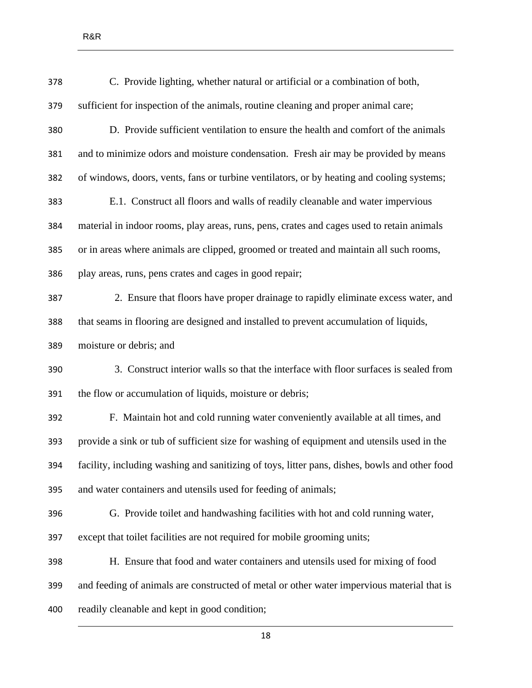| 378 | C. Provide lighting, whether natural or artificial or a combination of both,                  |
|-----|-----------------------------------------------------------------------------------------------|
| 379 | sufficient for inspection of the animals, routine cleaning and proper animal care;            |
| 380 | D. Provide sufficient ventilation to ensure the health and comfort of the animals             |
| 381 | and to minimize odors and moisture condensation. Fresh air may be provided by means           |
| 382 | of windows, doors, vents, fans or turbine ventilators, or by heating and cooling systems;     |
| 383 | E.1. Construct all floors and walls of readily cleanable and water impervious                 |
| 384 | material in indoor rooms, play areas, runs, pens, crates and cages used to retain animals     |
| 385 | or in areas where animals are clipped, groomed or treated and maintain all such rooms,        |
| 386 | play areas, runs, pens crates and cages in good repair;                                       |
| 387 | 2. Ensure that floors have proper drainage to rapidly eliminate excess water, and             |
| 388 | that seams in flooring are designed and installed to prevent accumulation of liquids,         |
| 389 | moisture or debris; and                                                                       |
| 390 | 3. Construct interior walls so that the interface with floor surfaces is sealed from          |
| 391 | the flow or accumulation of liquids, moisture or debris;                                      |
| 392 | F. Maintain hot and cold running water conveniently available at all times, and               |
| 393 | provide a sink or tub of sufficient size for washing of equipment and utensils used in the    |
| 394 | facility, including washing and sanitizing of toys, litter pans, dishes, bowls and other food |
| 395 | and water containers and utensils used for feeding of animals;                                |
| 396 | G. Provide toilet and handwashing facilities with hot and cold running water,                 |
| 397 | except that toilet facilities are not required for mobile grooming units;                     |
| 398 | H. Ensure that food and water containers and utensils used for mixing of food                 |
| 399 | and feeding of animals are constructed of metal or other water impervious material that is    |
| 400 | readily cleanable and kept in good condition;                                                 |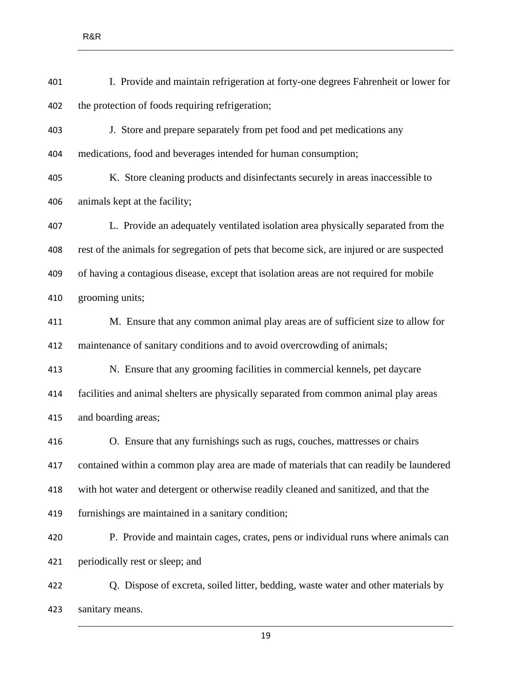I. Provide and maintain refrigeration at forty-one degrees Fahrenheit or lower for the protection of foods requiring refrigeration; J. Store and prepare separately from pet food and pet medications any medications, food and beverages intended for human consumption; K. Store cleaning products and disinfectants securely in areas inaccessible to animals kept at the facility; L. Provide an adequately ventilated isolation area physically separated from the rest of the animals for segregation of pets that become sick, are injured or are suspected of having a contagious disease, except that isolation areas are not required for mobile grooming units; M. Ensure that any common animal play areas are of sufficient size to allow for maintenance of sanitary conditions and to avoid overcrowding of animals; N. Ensure that any grooming facilities in commercial kennels, pet daycare facilities and animal shelters are physically separated from common animal play areas and boarding areas; O. Ensure that any furnishings such as rugs, couches, mattresses or chairs contained within a common play area are made of materials that can readily be laundered with hot water and detergent or otherwise readily cleaned and sanitized, and that the furnishings are maintained in a sanitary condition; P. Provide and maintain cages, crates, pens or individual runs where animals can periodically rest or sleep; and Q. Dispose of excreta, soiled litter, bedding, waste water and other materials by

sanitary means.

R&R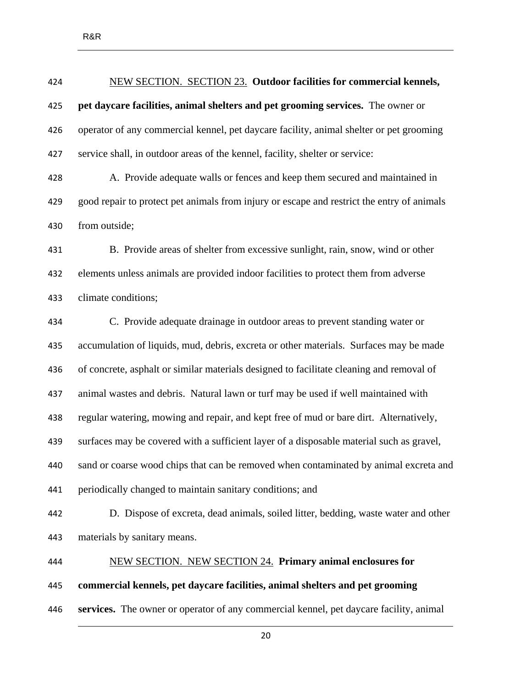| 424 | NEW SECTION. SECTION 23. Outdoor facilities for commercial kennels,                        |
|-----|--------------------------------------------------------------------------------------------|
| 425 | pet daycare facilities, animal shelters and pet grooming services. The owner or            |
| 426 | operator of any commercial kennel, pet daycare facility, animal shelter or pet grooming    |
| 427 | service shall, in outdoor areas of the kennel, facility, shelter or service:               |
| 428 | A. Provide adequate walls or fences and keep them secured and maintained in                |
| 429 | good repair to protect pet animals from injury or escape and restrict the entry of animals |
| 430 | from outside;                                                                              |
| 431 | B. Provide areas of shelter from excessive sunlight, rain, snow, wind or other             |
| 432 | elements unless animals are provided indoor facilities to protect them from adverse        |
| 433 | climate conditions;                                                                        |
| 434 | C. Provide adequate drainage in outdoor areas to prevent standing water or                 |
| 435 | accumulation of liquids, mud, debris, excreta or other materials. Surfaces may be made     |
| 436 | of concrete, asphalt or similar materials designed to facilitate cleaning and removal of   |
| 437 | animal wastes and debris. Natural lawn or turf may be used if well maintained with         |
| 438 | regular watering, mowing and repair, and kept free of mud or bare dirt. Alternatively,     |
| 439 | surfaces may be covered with a sufficient layer of a disposable material such as gravel,   |
| 440 | sand or coarse wood chips that can be removed when contaminated by animal excreta and      |
| 441 | periodically changed to maintain sanitary conditions; and                                  |
| 442 | D. Dispose of excreta, dead animals, soiled litter, bedding, waste water and other         |
| 443 | materials by sanitary means.                                                               |
| 444 | NEW SECTION. NEW SECTION 24. Primary animal enclosures for                                 |
| 445 | commercial kennels, pet daycare facilities, animal shelters and pet grooming               |
| 446 | services. The owner or operator of any commercial kennel, pet daycare facility, animal     |
|     |                                                                                            |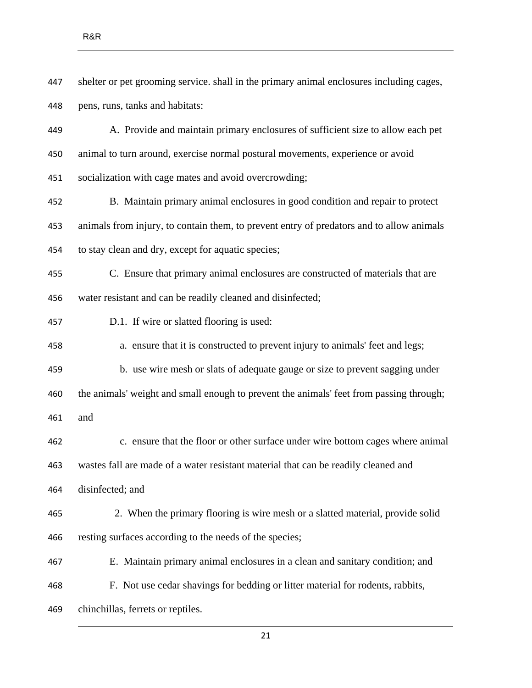shelter or pet grooming service. shall in the primary animal enclosures including cages, pens, runs, tanks and habitats:

 A. Provide and maintain primary enclosures of sufficient size to allow each pet animal to turn around, exercise normal postural movements, experience or avoid

socialization with cage mates and avoid overcrowding;

 B. Maintain primary animal enclosures in good condition and repair to protect animals from injury, to contain them, to prevent entry of predators and to allow animals to stay clean and dry, except for aquatic species;

 C. Ensure that primary animal enclosures are constructed of materials that are water resistant and can be readily cleaned and disinfected;

D.1. If wire or slatted flooring is used:

a. ensure that it is constructed to prevent injury to animals' feet and legs;

b. use wire mesh or slats of adequate gauge or size to prevent sagging under

the animals' weight and small enough to prevent the animals' feet from passing through;

and

 c. ensure that the floor or other surface under wire bottom cages where animal wastes fall are made of a water resistant material that can be readily cleaned and

disinfected; and

 2. When the primary flooring is wire mesh or a slatted material, provide solid resting surfaces according to the needs of the species;

E. Maintain primary animal enclosures in a clean and sanitary condition; and

F. Not use cedar shavings for bedding or litter material for rodents, rabbits,

chinchillas, ferrets or reptiles.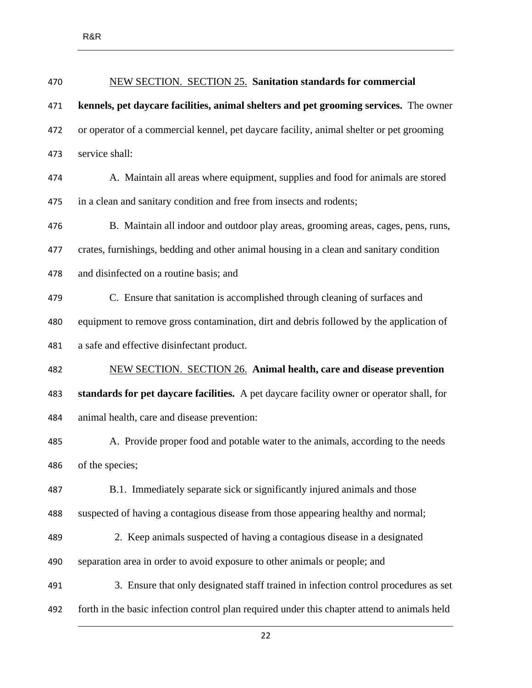| 470 | <b>NEW SECTION. SECTION 25. Sanitation standards for commercial</b>                          |
|-----|----------------------------------------------------------------------------------------------|
| 471 | kennels, pet daycare facilities, animal shelters and pet grooming services. The owner        |
| 472 | or operator of a commercial kennel, pet daycare facility, animal shelter or pet grooming     |
| 473 | service shall:                                                                               |
| 474 | A. Maintain all areas where equipment, supplies and food for animals are stored              |
| 475 | in a clean and sanitary condition and free from insects and rodents;                         |
| 476 | B. Maintain all indoor and outdoor play areas, grooming areas, cages, pens, runs,            |
| 477 | crates, furnishings, bedding and other animal housing in a clean and sanitary condition      |
| 478 | and disinfected on a routine basis; and                                                      |
| 479 | C. Ensure that sanitation is accomplished through cleaning of surfaces and                   |
| 480 | equipment to remove gross contamination, dirt and debris followed by the application of      |
| 481 | a safe and effective disinfectant product.                                                   |
| 482 | <b>NEW SECTION. SECTION 26. Animal health, care and disease prevention</b>                   |
| 483 | standards for pet daycare facilities. A pet daycare facility owner or operator shall, for    |
| 484 | animal health, care and disease prevention:                                                  |
| 485 | A. Provide proper food and potable water to the animals, according to the needs              |
| 486 | of the species;                                                                              |
| 487 | B.1. Immediately separate sick or significantly injured animals and those                    |
| 488 | suspected of having a contagious disease from those appearing healthy and normal;            |
| 489 | 2. Keep animals suspected of having a contagious disease in a designated                     |
| 490 | separation area in order to avoid exposure to other animals or people; and                   |
| 491 | 3. Ensure that only designated staff trained in infection control procedures as set          |
| 492 | forth in the basic infection control plan required under this chapter attend to animals held |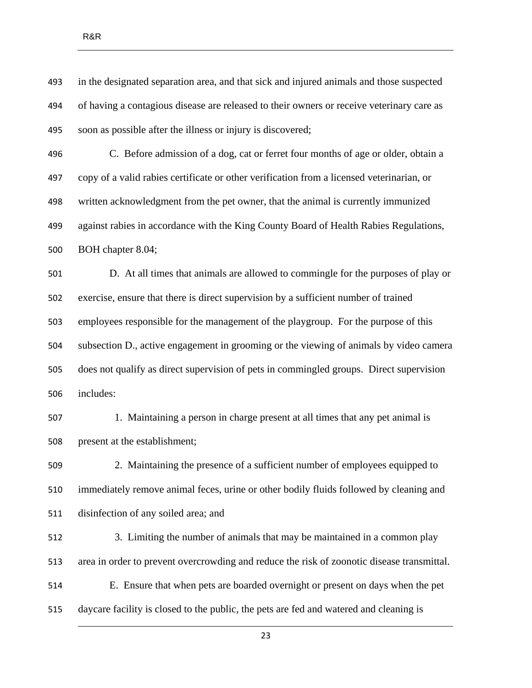in the designated separation area, and that sick and injured animals and those suspected of having a contagious disease are released to their owners or receive veterinary care as soon as possible after the illness or injury is discovered; C. Before admission of a dog, cat or ferret four months of age or older, obtain a copy of a valid rabies certificate or other verification from a licensed veterinarian, or written acknowledgment from the pet owner, that the animal is currently immunized against rabies in accordance with the King County Board of Health Rabies Regulations, BOH chapter 8.04; D. At all times that animals are allowed to commingle for the purposes of play or exercise, ensure that there is direct supervision by a sufficient number of trained employees responsible for the management of the playgroup. For the purpose of this subsection D., active engagement in grooming or the viewing of animals by video camera does not qualify as direct supervision of pets in commingled groups. Direct supervision includes: 1. Maintaining a person in charge present at all times that any pet animal is present at the establishment; 2. Maintaining the presence of a sufficient number of employees equipped to immediately remove animal feces, urine or other bodily fluids followed by cleaning and disinfection of any soiled area; and 3. Limiting the number of animals that may be maintained in a common play area in order to prevent overcrowding and reduce the risk of zoonotic disease transmittal. E. Ensure that when pets are boarded overnight or present on days when the pet daycare facility is closed to the public, the pets are fed and watered and cleaning is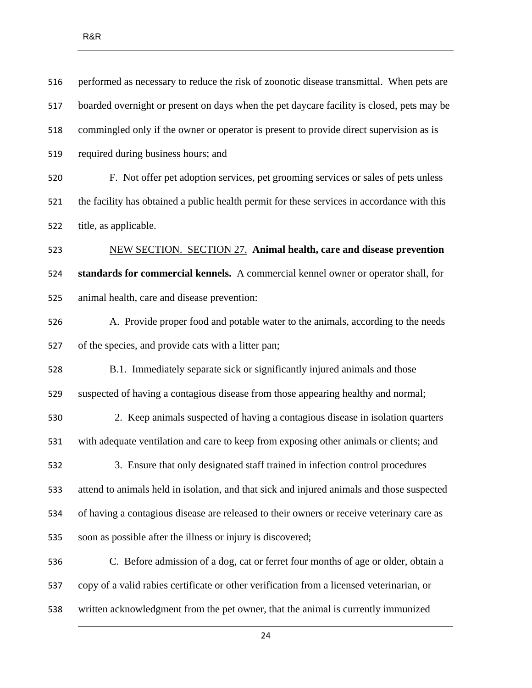| 516 | performed as necessary to reduce the risk of zoonotic disease transmittal. When pets are    |
|-----|---------------------------------------------------------------------------------------------|
| 517 | boarded overnight or present on days when the pet daycare facility is closed, pets may be   |
| 518 | commingled only if the owner or operator is present to provide direct supervision as is     |
| 519 | required during business hours; and                                                         |
| 520 | F. Not offer pet adoption services, pet grooming services or sales of pets unless           |
| 521 | the facility has obtained a public health permit for these services in accordance with this |
| 522 | title, as applicable.                                                                       |
| 523 | <b>NEW SECTION. SECTION 27. Animal health, care and disease prevention</b>                  |
| 524 | standards for commercial kennels. A commercial kennel owner or operator shall, for          |
| 525 | animal health, care and disease prevention:                                                 |
| 526 | A. Provide proper food and potable water to the animals, according to the needs             |
| 527 | of the species, and provide cats with a litter pan;                                         |
| 528 | B.1. Immediately separate sick or significantly injured animals and those                   |
| 529 | suspected of having a contagious disease from those appearing healthy and normal;           |
| 530 | 2. Keep animals suspected of having a contagious disease in isolation quarters              |
| 531 | with adequate ventilation and care to keep from exposing other animals or clients; and      |
| 532 | 3. Ensure that only designated staff trained in infection control procedures                |
| 533 | attend to animals held in isolation, and that sick and injured animals and those suspected  |
| 534 | of having a contagious disease are released to their owners or receive veterinary care as   |
| 535 | soon as possible after the illness or injury is discovered;                                 |
| 536 | C. Before admission of a dog, cat or ferret four months of age or older, obtain a           |
| 537 | copy of a valid rabies certificate or other verification from a licensed veterinarian, or   |
| 538 | written acknowledgment from the pet owner, that the animal is currently immunized           |
|     |                                                                                             |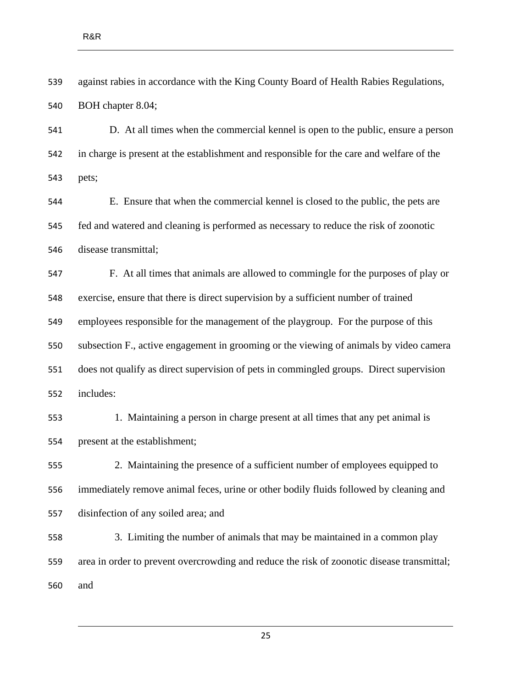against rabies in accordance with the King County Board of Health Rabies Regulations, BOH chapter 8.04;

 D. At all times when the commercial kennel is open to the public, ensure a person in charge is present at the establishment and responsible for the care and welfare of the pets;

 E. Ensure that when the commercial kennel is closed to the public, the pets are fed and watered and cleaning is performed as necessary to reduce the risk of zoonotic disease transmittal;

 F. At all times that animals are allowed to commingle for the purposes of play or exercise, ensure that there is direct supervision by a sufficient number of trained employees responsible for the management of the playgroup. For the purpose of this subsection F., active engagement in grooming or the viewing of animals by video camera does not qualify as direct supervision of pets in commingled groups. Direct supervision includes:

 1. Maintaining a person in charge present at all times that any pet animal is present at the establishment;

 2. Maintaining the presence of a sufficient number of employees equipped to immediately remove animal feces, urine or other bodily fluids followed by cleaning and disinfection of any soiled area; and

 3. Limiting the number of animals that may be maintained in a common play area in order to prevent overcrowding and reduce the risk of zoonotic disease transmittal; and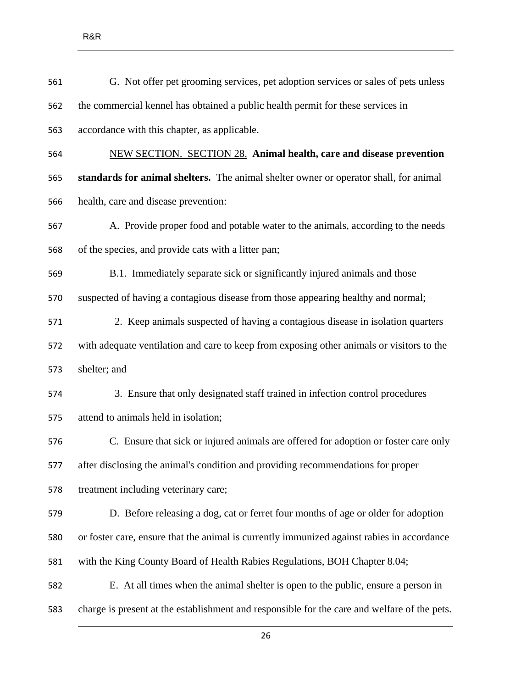| 561 | G. Not offer pet grooming services, pet adoption services or sales of pets unless            |
|-----|----------------------------------------------------------------------------------------------|
| 562 | the commercial kennel has obtained a public health permit for these services in              |
| 563 | accordance with this chapter, as applicable.                                                 |
| 564 | <b>NEW SECTION. SECTION 28. Animal health, care and disease prevention</b>                   |
| 565 | standards for animal shelters. The animal shelter owner or operator shall, for animal        |
| 566 | health, care and disease prevention:                                                         |
| 567 | A. Provide proper food and potable water to the animals, according to the needs              |
| 568 | of the species, and provide cats with a litter pan;                                          |
| 569 | B.1. Immediately separate sick or significantly injured animals and those                    |
| 570 | suspected of having a contagious disease from those appearing healthy and normal;            |
| 571 | 2. Keep animals suspected of having a contagious disease in isolation quarters               |
| 572 | with adequate ventilation and care to keep from exposing other animals or visitors to the    |
| 573 | shelter; and                                                                                 |
| 574 | 3. Ensure that only designated staff trained in infection control procedures                 |
| 575 | attend to animals held in isolation;                                                         |
| 576 | C. Ensure that sick or injured animals are offered for adoption or foster care only          |
| 577 | after disclosing the animal's condition and providing recommendations for proper             |
| 578 | treatment including veterinary care;                                                         |
| 579 | D. Before releasing a dog, cat or ferret four months of age or older for adoption            |
| 580 | or foster care, ensure that the animal is currently immunized against rabies in accordance   |
| 581 | with the King County Board of Health Rabies Regulations, BOH Chapter 8.04;                   |
| 582 | E. At all times when the animal shelter is open to the public, ensure a person in            |
| 583 | charge is present at the establishment and responsible for the care and welfare of the pets. |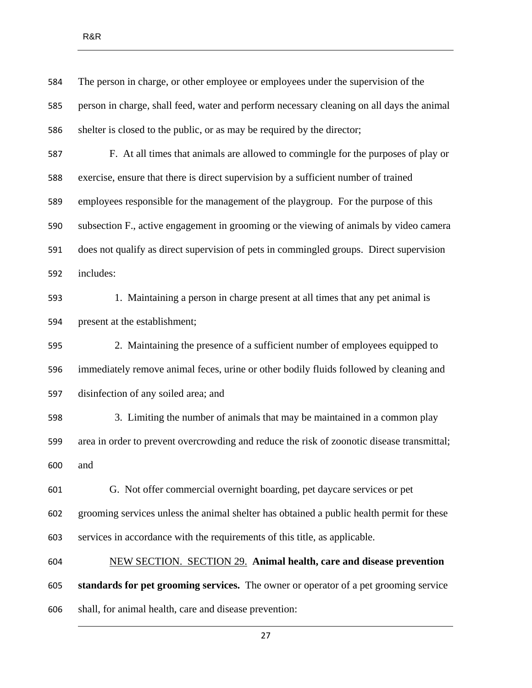| 584 | The person in charge, or other employee or employees under the supervision of the          |
|-----|--------------------------------------------------------------------------------------------|
| 585 | person in charge, shall feed, water and perform necessary cleaning on all days the animal  |
| 586 | shelter is closed to the public, or as may be required by the director;                    |
| 587 | F. At all times that animals are allowed to commingle for the purposes of play or          |
| 588 | exercise, ensure that there is direct supervision by a sufficient number of trained        |
| 589 | employees responsible for the management of the playgroup. For the purpose of this         |
| 590 | subsection F., active engagement in grooming or the viewing of animals by video camera     |
| 591 | does not qualify as direct supervision of pets in commingled groups. Direct supervision    |
| 592 | includes:                                                                                  |
| 593 | 1. Maintaining a person in charge present at all times that any pet animal is              |
| 594 | present at the establishment;                                                              |
| 595 | 2. Maintaining the presence of a sufficient number of employees equipped to                |
| 596 | immediately remove animal feces, urine or other bodily fluids followed by cleaning and     |
| 597 | disinfection of any soiled area; and                                                       |
| 598 | 3. Limiting the number of animals that may be maintained in a common play                  |
| 599 | area in order to prevent overcrowding and reduce the risk of zoonotic disease transmittal; |
| 600 | and                                                                                        |
| 601 | G. Not offer commercial overnight boarding, pet daycare services or pet                    |
| 602 | grooming services unless the animal shelter has obtained a public health permit for these  |
| 603 | services in accordance with the requirements of this title, as applicable.                 |
| 604 | <b>NEW SECTION. SECTION 29. Animal health, care and disease prevention</b>                 |
| 605 | standards for pet grooming services. The owner or operator of a pet grooming service       |
| 606 | shall, for animal health, care and disease prevention:                                     |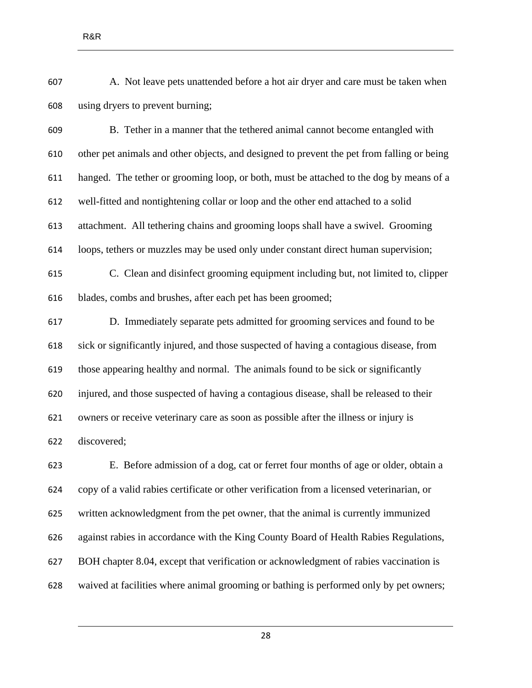A. Not leave pets unattended before a hot air dryer and care must be taken when using dryers to prevent burning;

 B. Tether in a manner that the tethered animal cannot become entangled with other pet animals and other objects, and designed to prevent the pet from falling or being hanged. The tether or grooming loop, or both, must be attached to the dog by means of a well-fitted and nontightening collar or loop and the other end attached to a solid attachment. All tethering chains and grooming loops shall have a swivel. Grooming loops, tethers or muzzles may be used only under constant direct human supervision; C. Clean and disinfect grooming equipment including but, not limited to, clipper

blades, combs and brushes, after each pet has been groomed;

 D. Immediately separate pets admitted for grooming services and found to be sick or significantly injured, and those suspected of having a contagious disease, from those appearing healthy and normal. The animals found to be sick or significantly injured, and those suspected of having a contagious disease, shall be released to their owners or receive veterinary care as soon as possible after the illness or injury is discovered;

 E. Before admission of a dog, cat or ferret four months of age or older, obtain a copy of a valid rabies certificate or other verification from a licensed veterinarian, or written acknowledgment from the pet owner, that the animal is currently immunized against rabies in accordance with the King County Board of Health Rabies Regulations, BOH chapter 8.04, except that verification or acknowledgment of rabies vaccination is waived at facilities where animal grooming or bathing is performed only by pet owners;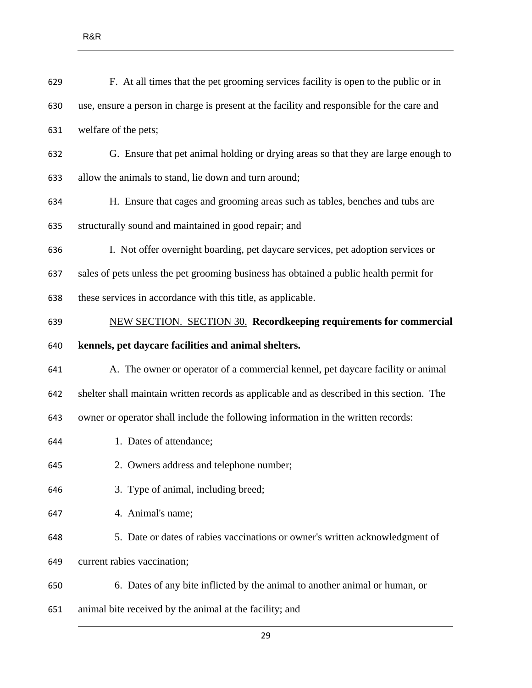| 629 | F. At all times that the pet grooming services facility is open to the public or in        |
|-----|--------------------------------------------------------------------------------------------|
| 630 | use, ensure a person in charge is present at the facility and responsible for the care and |
| 631 | welfare of the pets;                                                                       |
| 632 | G. Ensure that pet animal holding or drying areas so that they are large enough to         |
| 633 | allow the animals to stand, lie down and turn around;                                      |
| 634 | H. Ensure that cages and grooming areas such as tables, benches and tubs are               |
| 635 | structurally sound and maintained in good repair; and                                      |
| 636 | I. Not offer overnight boarding, pet daycare services, pet adoption services or            |
| 637 | sales of pets unless the pet grooming business has obtained a public health permit for     |
| 638 | these services in accordance with this title, as applicable.                               |
| 639 | <b>NEW SECTION. SECTION 30. Recordkeeping requirements for commercial</b>                  |
| 640 | kennels, pet daycare facilities and animal shelters.                                       |
| 641 | A. The owner or operator of a commercial kennel, pet daycare facility or animal            |
| 642 | shelter shall maintain written records as applicable and as described in this section. The |
| 643 | owner or operator shall include the following information in the written records:          |
| 644 | 1. Dates of attendance;                                                                    |
| 645 | 2. Owners address and telephone number;                                                    |
| 646 | 3. Type of animal, including breed;                                                        |
| 647 | 4. Animal's name;                                                                          |
| 648 | 5. Date or dates of rabies vaccinations or owner's written acknowledgment of               |
| 649 | current rabies vaccination;                                                                |
| 650 | 6. Dates of any bite inflicted by the animal to another animal or human, or                |
| 651 | animal bite received by the animal at the facility; and                                    |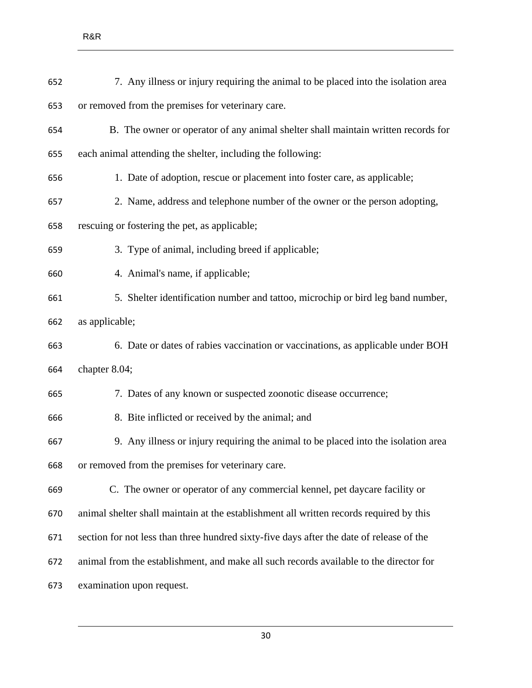| 652 | 7. Any illness or injury requiring the animal to be placed into the isolation area       |
|-----|------------------------------------------------------------------------------------------|
| 653 | or removed from the premises for veterinary care.                                        |
| 654 | B. The owner or operator of any animal shelter shall maintain written records for        |
| 655 | each animal attending the shelter, including the following:                              |
| 656 | 1. Date of adoption, rescue or placement into foster care, as applicable;                |
| 657 | 2. Name, address and telephone number of the owner or the person adopting,               |
| 658 | rescuing or fostering the pet, as applicable;                                            |
| 659 | 3. Type of animal, including breed if applicable;                                        |
| 660 | 4. Animal's name, if applicable;                                                         |
| 661 | 5. Shelter identification number and tattoo, microchip or bird leg band number,          |
| 662 | as applicable;                                                                           |
| 663 | 6. Date or dates of rabies vaccination or vaccinations, as applicable under BOH          |
| 664 | chapter 8.04;                                                                            |
| 665 | 7. Dates of any known or suspected zoonotic disease occurrence;                          |
| 666 | 8. Bite inflicted or received by the animal; and                                         |
| 667 | 9. Any illness or injury requiring the animal to be placed into the isolation area       |
| 668 | or removed from the premises for veterinary care.                                        |
| 669 | C. The owner or operator of any commercial kennel, pet daycare facility or               |
| 670 | animal shelter shall maintain at the establishment all written records required by this  |
| 671 | section for not less than three hundred sixty-five days after the date of release of the |
| 672 | animal from the establishment, and make all such records available to the director for   |
| 673 | examination upon request.                                                                |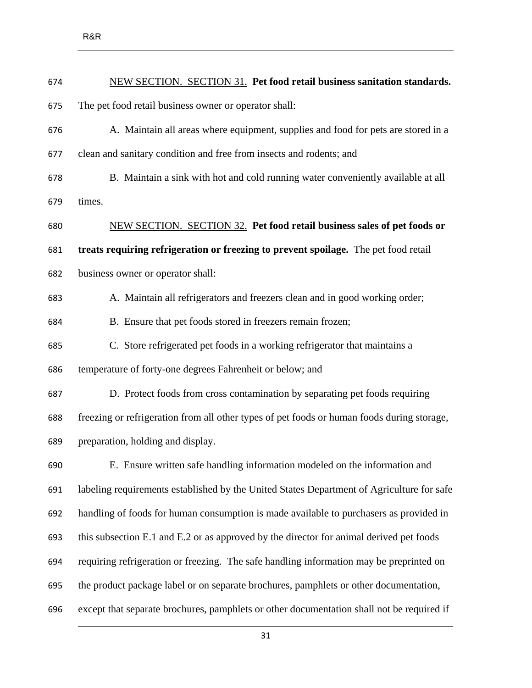| 674 | NEW SECTION. SECTION 31. Pet food retail business sanitation standards.                    |
|-----|--------------------------------------------------------------------------------------------|
| 675 | The pet food retail business owner or operator shall:                                      |
| 676 | A. Maintain all areas where equipment, supplies and food for pets are stored in a          |
| 677 | clean and sanitary condition and free from insects and rodents; and                        |
| 678 | B. Maintain a sink with hot and cold running water conveniently available at all           |
| 679 | times.                                                                                     |
| 680 | <b>NEW SECTION. SECTION 32.</b> Pet food retail business sales of pet foods or             |
| 681 | treats requiring refrigeration or freezing to prevent spoilage. The pet food retail        |
| 682 | business owner or operator shall:                                                          |
| 683 | A. Maintain all refrigerators and freezers clean and in good working order;                |
| 684 | B. Ensure that pet foods stored in freezers remain frozen;                                 |
| 685 | C. Store refrigerated pet foods in a working refrigerator that maintains a                 |
| 686 | temperature of forty-one degrees Fahrenheit or below; and                                  |
| 687 | D. Protect foods from cross contamination by separating pet foods requiring                |
| 688 | freezing or refrigeration from all other types of pet foods or human foods during storage, |
| 689 | preparation, holding and display.                                                          |
| 690 | E. Ensure written safe handling information modeled on the information and                 |
| 691 | labeling requirements established by the United States Department of Agriculture for safe  |
| 692 | handling of foods for human consumption is made available to purchasers as provided in     |
| 693 | this subsection E.1 and E.2 or as approved by the director for animal derived pet foods    |
| 694 | requiring refrigeration or freezing. The safe handling information may be preprinted on    |
| 695 | the product package label or on separate brochures, pamphlets or other documentation,      |
| 696 | except that separate brochures, pamphlets or other documentation shall not be required if  |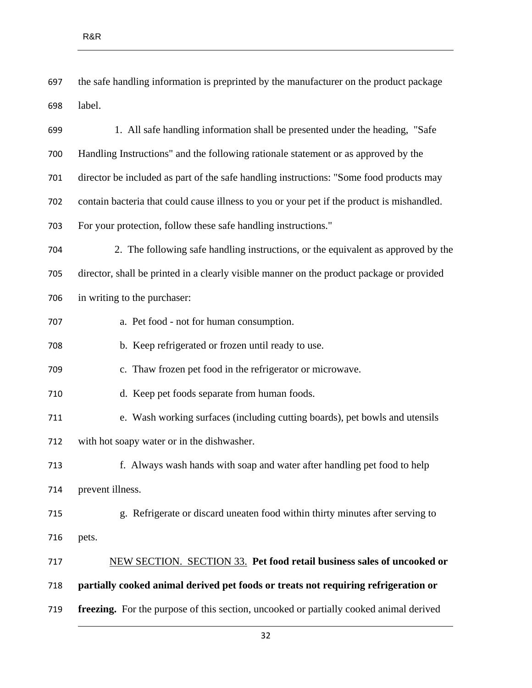the safe handling information is preprinted by the manufacturer on the product package label.

 1. All safe handling information shall be presented under the heading, "Safe Handling Instructions" and the following rationale statement or as approved by the director be included as part of the safe handling instructions: "Some food products may contain bacteria that could cause illness to you or your pet if the product is mishandled. For your protection, follow these safe handling instructions." 2. The following safe handling instructions, or the equivalent as approved by the director, shall be printed in a clearly visible manner on the product package or provided in writing to the purchaser: a. Pet food - not for human consumption. b. Keep refrigerated or frozen until ready to use. c. Thaw frozen pet food in the refrigerator or microwave. d. Keep pet foods separate from human foods. e. Wash working surfaces (including cutting boards), pet bowls and utensils with hot soapy water or in the dishwasher. f. Always wash hands with soap and water after handling pet food to help prevent illness. g. Refrigerate or discard uneaten food within thirty minutes after serving to pets. NEW SECTION. SECTION 33. **Pet food retail business sales of uncooked or partially cooked animal derived pet foods or treats not requiring refrigeration or** 

**freezing.** For the purpose of this section, uncooked or partially cooked animal derived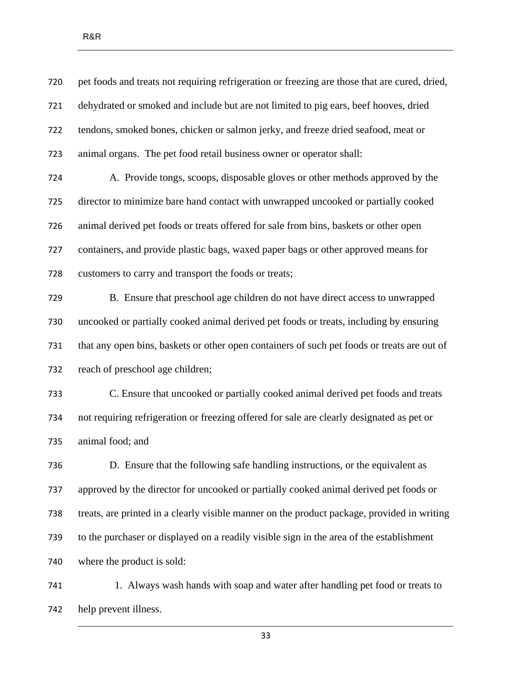| 720 | pet foods and treats not requiring refrigeration or freezing are those that are cured, dried, |
|-----|-----------------------------------------------------------------------------------------------|
| 721 | dehydrated or smoked and include but are not limited to pig ears, beef hooves, dried          |
| 722 | tendons, smoked bones, chicken or salmon jerky, and freeze dried seafood, meat or             |
| 723 | animal organs. The pet food retail business owner or operator shall:                          |
| 724 | A. Provide tongs, scoops, disposable gloves or other methods approved by the                  |
| 725 | director to minimize bare hand contact with unwrapped uncooked or partially cooked            |
| 726 | animal derived pet foods or treats offered for sale from bins, baskets or other open          |
| 727 | containers, and provide plastic bags, waxed paper bags or other approved means for            |
| 728 | customers to carry and transport the foods or treats;                                         |
| 729 | B. Ensure that preschool age children do not have direct access to unwrapped                  |
| 730 | uncooked or partially cooked animal derived pet foods or treats, including by ensuring        |
| 731 | that any open bins, baskets or other open containers of such pet foods or treats are out of   |
| 732 | reach of preschool age children;                                                              |
| 733 | C. Ensure that uncooked or partially cooked animal derived pet foods and treats               |
| 734 | not requiring refrigeration or freezing offered for sale are clearly designated as pet or     |
| 735 | animal food; and                                                                              |
| 736 | D. Ensure that the following safe handling instructions, or the equivalent as                 |
| 737 | approved by the director for uncooked or partially cooked animal derived pet foods or         |
| 738 | treats, are printed in a clearly visible manner on the product package, provided in writing   |
| 739 | to the purchaser or displayed on a readily visible sign in the area of the establishment      |
| 740 | where the product is sold:                                                                    |
| 741 | 1. Always wash hands with soap and water after handling pet food or treats to                 |

help prevent illness.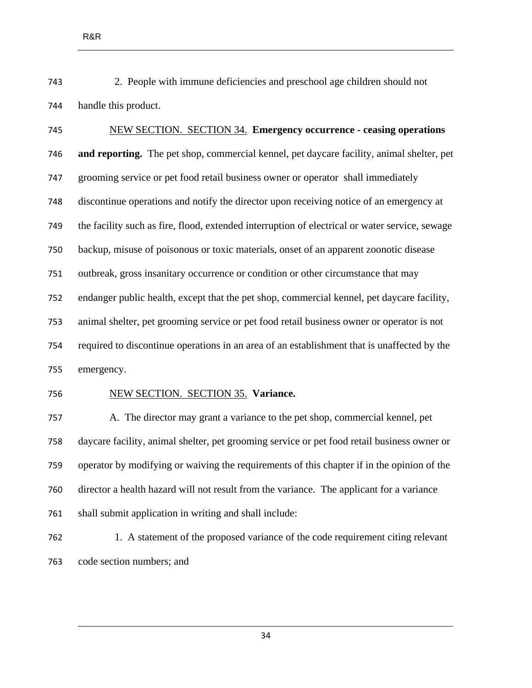2. People with immune deficiencies and preschool age children should not handle this product.

 NEW SECTION. SECTION 34. **Emergency occurrence - ceasing operations and reporting.** The pet shop, commercial kennel, pet daycare facility, animal shelter, pet grooming service or pet food retail business owner or operator shall immediately discontinue operations and notify the director upon receiving notice of an emergency at the facility such as fire, flood, extended interruption of electrical or water service, sewage backup, misuse of poisonous or toxic materials, onset of an apparent zoonotic disease outbreak, gross insanitary occurrence or condition or other circumstance that may endanger public health, except that the pet shop, commercial kennel, pet daycare facility, animal shelter, pet grooming service or pet food retail business owner or operator is not required to discontinue operations in an area of an establishment that is unaffected by the emergency.

#### NEW SECTION. SECTION 35. **Variance.**

 A. The director may grant a variance to the pet shop, commercial kennel, pet daycare facility, animal shelter, pet grooming service or pet food retail business owner or operator by modifying or waiving the requirements of this chapter if in the opinion of the director a health hazard will not result from the variance. The applicant for a variance shall submit application in writing and shall include:

 1. A statement of the proposed variance of the code requirement citing relevant code section numbers; and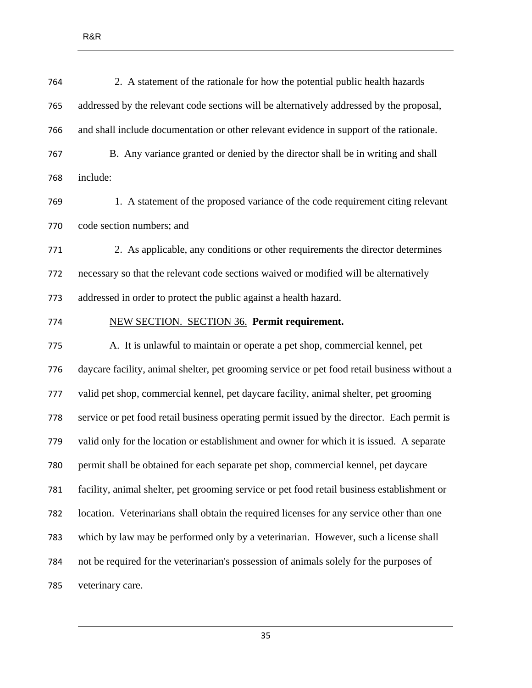| 764 | 2. A statement of the rationale for how the potential public health hazards                  |
|-----|----------------------------------------------------------------------------------------------|
| 765 | addressed by the relevant code sections will be alternatively addressed by the proposal,     |
| 766 | and shall include documentation or other relevant evidence in support of the rationale.      |
| 767 | B. Any variance granted or denied by the director shall be in writing and shall              |
| 768 | include:                                                                                     |
| 769 | 1. A statement of the proposed variance of the code requirement citing relevant              |
| 770 | code section numbers; and                                                                    |
| 771 | 2. As applicable, any conditions or other requirements the director determines               |
| 772 | necessary so that the relevant code sections waived or modified will be alternatively        |
| 773 | addressed in order to protect the public against a health hazard.                            |
| 774 | <b>NEW SECTION. SECTION 36. Permit requirement.</b>                                          |
| 775 | A. It is unlawful to maintain or operate a pet shop, commercial kennel, pet                  |
| 776 | daycare facility, animal shelter, pet grooming service or pet food retail business without a |
| 777 | valid pet shop, commercial kennel, pet daycare facility, animal shelter, pet grooming        |
| 778 | service or pet food retail business operating permit issued by the director. Each permit is  |
| 779 | valid only for the location or establishment and owner for which it is issued. A separate    |
| 780 | permit shall be obtained for each separate pet shop, commercial kennel, pet daycare          |
| 781 | facility, animal shelter, pet grooming service or pet food retail business establishment or  |
| 782 | location. Veterinarians shall obtain the required licenses for any service other than one    |
| 783 | which by law may be performed only by a veterinarian. However, such a license shall          |
| 784 | not be required for the veterinarian's possession of animals solely for the purposes of      |
| 785 | veterinary care.                                                                             |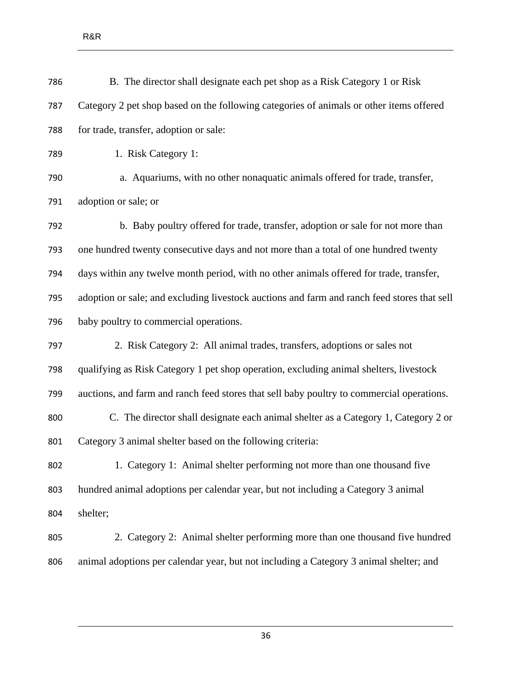| B. The director shall designate each pet shop as a Risk Category 1 or Risk                  |
|---------------------------------------------------------------------------------------------|
| Category 2 pet shop based on the following categories of animals or other items offered     |
| for trade, transfer, adoption or sale:                                                      |
| 1. Risk Category 1:                                                                         |
| a. Aquariums, with no other nonaquatic animals offered for trade, transfer,                 |
| adoption or sale; or                                                                        |
| b. Baby poultry offered for trade, transfer, adoption or sale for not more than             |
| one hundred twenty consecutive days and not more than a total of one hundred twenty         |
| days within any twelve month period, with no other animals offered for trade, transfer,     |
| adoption or sale; and excluding livestock auctions and farm and ranch feed stores that sell |
| baby poultry to commercial operations.                                                      |
| 2. Risk Category 2: All animal trades, transfers, adoptions or sales not                    |
| qualifying as Risk Category 1 pet shop operation, excluding animal shelters, livestock      |
| auctions, and farm and ranch feed stores that sell baby poultry to commercial operations.   |
| C. The director shall designate each animal shelter as a Category 1, Category 2 or          |
| Category 3 animal shelter based on the following criteria:                                  |
| 1. Category 1: Animal shelter performing not more than one thousand five                    |
| hundred animal adoptions per calendar year, but not including a Category 3 animal           |
| shelter;                                                                                    |
| 2. Category 2: Animal shelter performing more than one thousand five hundred                |
| animal adoptions per calendar year, but not including a Category 3 animal shelter; and      |
|                                                                                             |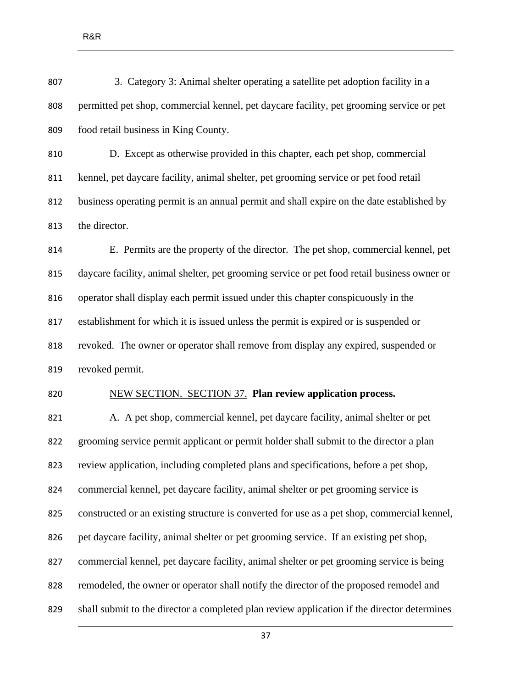3. Category 3: Animal shelter operating a satellite pet adoption facility in a permitted pet shop, commercial kennel, pet daycare facility, pet grooming service or pet food retail business in King County.

 D. Except as otherwise provided in this chapter, each pet shop, commercial kennel, pet daycare facility, animal shelter, pet grooming service or pet food retail business operating permit is an annual permit and shall expire on the date established by the director.

 E. Permits are the property of the director. The pet shop, commercial kennel, pet daycare facility, animal shelter, pet grooming service or pet food retail business owner or operator shall display each permit issued under this chapter conspicuously in the establishment for which it is issued unless the permit is expired or is suspended or revoked. The owner or operator shall remove from display any expired, suspended or revoked permit.

### NEW SECTION. SECTION 37. **Plan review application process.**

 A. A pet shop, commercial kennel, pet daycare facility, animal shelter or pet grooming service permit applicant or permit holder shall submit to the director a plan review application, including completed plans and specifications, before a pet shop, commercial kennel, pet daycare facility, animal shelter or pet grooming service is constructed or an existing structure is converted for use as a pet shop, commercial kennel, pet daycare facility, animal shelter or pet grooming service. If an existing pet shop, commercial kennel, pet daycare facility, animal shelter or pet grooming service is being remodeled, the owner or operator shall notify the director of the proposed remodel and shall submit to the director a completed plan review application if the director determines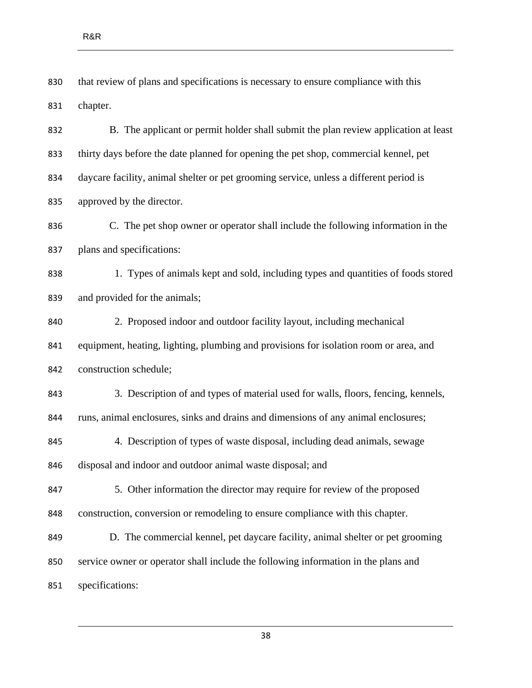that review of plans and specifications is necessary to ensure compliance with this chapter.

 B. The applicant or permit holder shall submit the plan review application at least thirty days before the date planned for opening the pet shop, commercial kennel, pet daycare facility, animal shelter or pet grooming service, unless a different period is approved by the director.

 C. The pet shop owner or operator shall include the following information in the plans and specifications:

 1. Types of animals kept and sold, including types and quantities of foods stored and provided for the animals;

 2. Proposed indoor and outdoor facility layout, including mechanical equipment, heating, lighting, plumbing and provisions for isolation room or area, and construction schedule;

 3. Description of and types of material used for walls, floors, fencing, kennels, runs, animal enclosures, sinks and drains and dimensions of any animal enclosures;

 4. Description of types of waste disposal, including dead animals, sewage disposal and indoor and outdoor animal waste disposal; and

 5. Other information the director may require for review of the proposed construction, conversion or remodeling to ensure compliance with this chapter.

 D. The commercial kennel, pet daycare facility, animal shelter or pet grooming service owner or operator shall include the following information in the plans and specifications: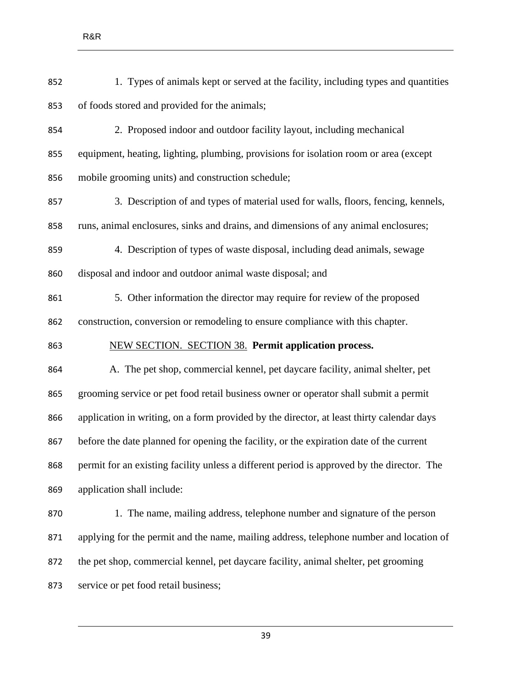| 852 | 1. Types of animals kept or served at the facility, including types and quantities         |
|-----|--------------------------------------------------------------------------------------------|
| 853 | of foods stored and provided for the animals;                                              |
| 854 | 2. Proposed indoor and outdoor facility layout, including mechanical                       |
| 855 | equipment, heating, lighting, plumbing, provisions for isolation room or area (except      |
| 856 | mobile grooming units) and construction schedule;                                          |
| 857 | 3. Description of and types of material used for walls, floors, fencing, kennels,          |
| 858 | runs, animal enclosures, sinks and drains, and dimensions of any animal enclosures;        |
| 859 | 4. Description of types of waste disposal, including dead animals, sewage                  |
| 860 | disposal and indoor and outdoor animal waste disposal; and                                 |
| 861 | 5. Other information the director may require for review of the proposed                   |
| 862 | construction, conversion or remodeling to ensure compliance with this chapter.             |
| 863 | <b>NEW SECTION. SECTION 38. Permit application process.</b>                                |
| 864 | A. The pet shop, commercial kennel, pet daycare facility, animal shelter, pet              |
| 865 | grooming service or pet food retail business owner or operator shall submit a permit       |
| 866 | application in writing, on a form provided by the director, at least thirty calendar days  |
| 867 | before the date planned for opening the facility, or the expiration date of the current    |
| 868 | permit for an existing facility unless a different period is approved by the director. The |
| 869 | application shall include:                                                                 |
| 870 | 1. The name, mailing address, telephone number and signature of the person                 |
| 871 | applying for the permit and the name, mailing address, telephone number and location of    |
| 872 | the pet shop, commercial kennel, pet daycare facility, animal shelter, pet grooming        |
| 873 | service or pet food retail business;                                                       |
|     |                                                                                            |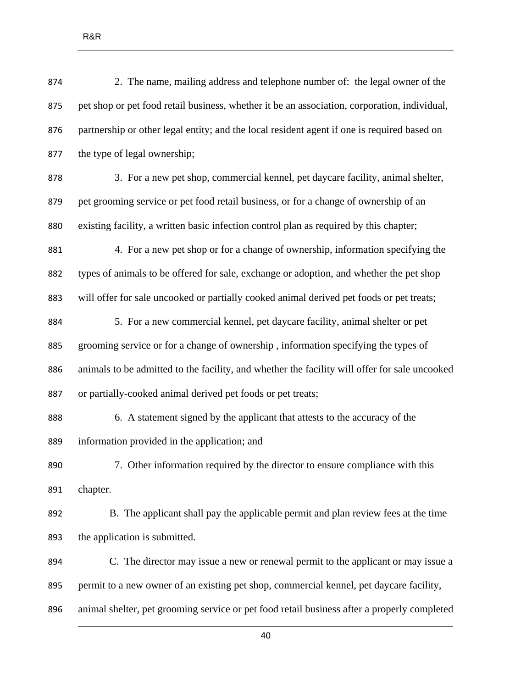| 874 | 2. The name, mailing address and telephone number of: the legal owner of the                  |
|-----|-----------------------------------------------------------------------------------------------|
| 875 | pet shop or pet food retail business, whether it be an association, corporation, individual,  |
| 876 | partnership or other legal entity; and the local resident agent if one is required based on   |
| 877 | the type of legal ownership;                                                                  |
| 878 | 3. For a new pet shop, commercial kennel, pet daycare facility, animal shelter,               |
| 879 | pet grooming service or pet food retail business, or for a change of ownership of an          |
| 880 | existing facility, a written basic infection control plan as required by this chapter;        |
| 881 | 4. For a new pet shop or for a change of ownership, information specifying the                |
| 882 | types of animals to be offered for sale, exchange or adoption, and whether the pet shop       |
| 883 | will offer for sale uncooked or partially cooked animal derived pet foods or pet treats;      |
| 884 | 5. For a new commercial kennel, pet daycare facility, animal shelter or pet                   |
| 885 | grooming service or for a change of ownership, information specifying the types of            |
| 886 | animals to be admitted to the facility, and whether the facility will offer for sale uncooked |
| 887 | or partially-cooked animal derived pet foods or pet treats;                                   |
| 888 | 6. A statement signed by the applicant that attests to the accuracy of the                    |
| 889 | information provided in the application; and                                                  |
| 890 | 7. Other information required by the director to ensure compliance with this                  |
| 891 | chapter.                                                                                      |
| 892 | B. The applicant shall pay the applicable permit and plan review fees at the time             |
| 893 | the application is submitted.                                                                 |
| 894 | C. The director may issue a new or renewal permit to the applicant or may issue a             |
| 895 | permit to a new owner of an existing pet shop, commercial kennel, pet daycare facility,       |
| 896 | animal shelter, pet grooming service or pet food retail business after a properly completed   |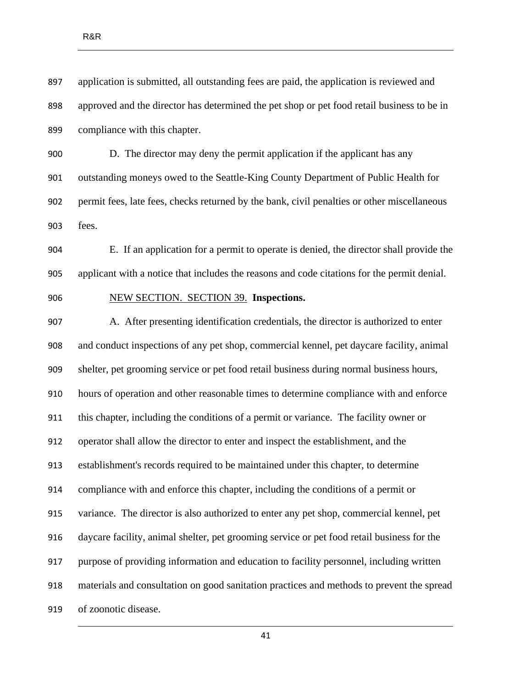application is submitted, all outstanding fees are paid, the application is reviewed and approved and the director has determined the pet shop or pet food retail business to be in compliance with this chapter.

 D. The director may deny the permit application if the applicant has any outstanding moneys owed to the Seattle-King County Department of Public Health for permit fees, late fees, checks returned by the bank, civil penalties or other miscellaneous fees.

 E. If an application for a permit to operate is denied, the director shall provide the applicant with a notice that includes the reasons and code citations for the permit denial.

NEW SECTION. SECTION 39. **Inspections.** 

 A. After presenting identification credentials, the director is authorized to enter and conduct inspections of any pet shop, commercial kennel, pet daycare facility, animal shelter, pet grooming service or pet food retail business during normal business hours, hours of operation and other reasonable times to determine compliance with and enforce this chapter, including the conditions of a permit or variance. The facility owner or operator shall allow the director to enter and inspect the establishment, and the establishment's records required to be maintained under this chapter, to determine compliance with and enforce this chapter, including the conditions of a permit or variance. The director is also authorized to enter any pet shop, commercial kennel, pet daycare facility, animal shelter, pet grooming service or pet food retail business for the purpose of providing information and education to facility personnel, including written materials and consultation on good sanitation practices and methods to prevent the spread of zoonotic disease.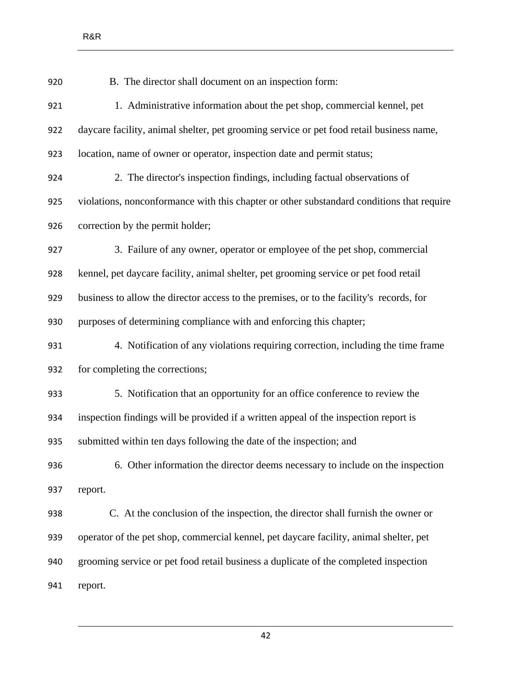| 920 | B. The director shall document on an inspection form:                                     |
|-----|-------------------------------------------------------------------------------------------|
| 921 | 1. Administrative information about the pet shop, commercial kennel, pet                  |
| 922 | daycare facility, animal shelter, pet grooming service or pet food retail business name,  |
| 923 | location, name of owner or operator, inspection date and permit status;                   |
| 924 | 2. The director's inspection findings, including factual observations of                  |
| 925 | violations, nonconformance with this chapter or other substandard conditions that require |
| 926 | correction by the permit holder;                                                          |
| 927 | 3. Failure of any owner, operator or employee of the pet shop, commercial                 |
| 928 | kennel, pet daycare facility, animal shelter, pet grooming service or pet food retail     |
| 929 | business to allow the director access to the premises, or to the facility's records, for  |
| 930 | purposes of determining compliance with and enforcing this chapter;                       |
| 931 | 4. Notification of any violations requiring correction, including the time frame          |
| 932 | for completing the corrections;                                                           |
| 933 | 5. Notification that an opportunity for an office conference to review the                |
| 934 | inspection findings will be provided if a written appeal of the inspection report is      |
| 935 | submitted within ten days following the date of the inspection; and                       |
| 936 | 6. Other information the director deems necessary to include on the inspection            |
| 937 | report.                                                                                   |
| 938 | C. At the conclusion of the inspection, the director shall furnish the owner or           |
| 939 | operator of the pet shop, commercial kennel, pet daycare facility, animal shelter, pet    |
| 940 | grooming service or pet food retail business a duplicate of the completed inspection      |
| 941 | report.                                                                                   |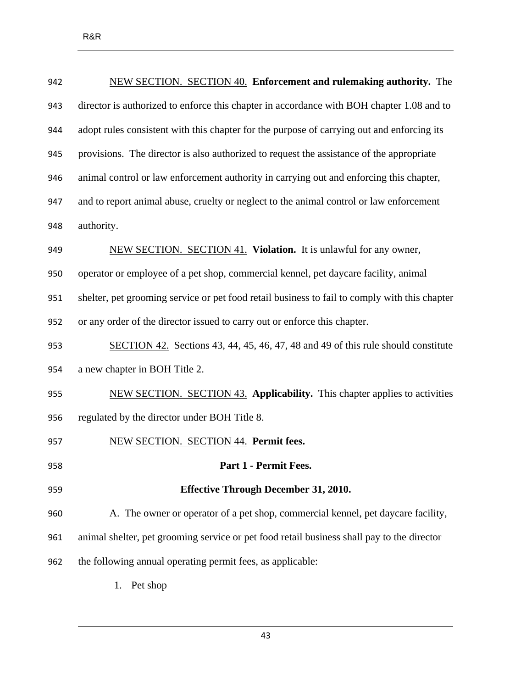| 942 | NEW SECTION. SECTION 40. Enforcement and rulemaking authority. The                            |  |  |
|-----|-----------------------------------------------------------------------------------------------|--|--|
| 943 | director is authorized to enforce this chapter in accordance with BOH chapter 1.08 and to     |  |  |
| 944 | adopt rules consistent with this chapter for the purpose of carrying out and enforcing its    |  |  |
| 945 | provisions. The director is also authorized to request the assistance of the appropriate      |  |  |
| 946 | animal control or law enforcement authority in carrying out and enforcing this chapter,       |  |  |
| 947 | and to report animal abuse, cruelty or neglect to the animal control or law enforcement       |  |  |
| 948 | authority.                                                                                    |  |  |
| 949 | NEW SECTION. SECTION 41. Violation. It is unlawful for any owner,                             |  |  |
| 950 | operator or employee of a pet shop, commercial kennel, pet daycare facility, animal           |  |  |
| 951 | shelter, pet grooming service or pet food retail business to fail to comply with this chapter |  |  |
| 952 | or any order of the director issued to carry out or enforce this chapter.                     |  |  |
| 953 | SECTION 42. Sections 43, 44, 45, 46, 47, 48 and 49 of this rule should constitute             |  |  |
| 954 | a new chapter in BOH Title 2.                                                                 |  |  |
| 955 | NEW SECTION. SECTION 43. Applicability. This chapter applies to activities                    |  |  |
| 956 | regulated by the director under BOH Title 8.                                                  |  |  |
| 957 | NEW SECTION. SECTION 44. Permit fees.                                                         |  |  |
| 958 | <b>Part 1 - Permit Fees.</b>                                                                  |  |  |
| 959 | <b>Effective Through December 31, 2010.</b>                                                   |  |  |
| 960 | A. The owner or operator of a pet shop, commercial kennel, pet daycare facility,              |  |  |
| 961 | animal shelter, pet grooming service or pet food retail business shall pay to the director    |  |  |
| 962 | the following annual operating permit fees, as applicable:                                    |  |  |
|     | Pet shop<br>1.                                                                                |  |  |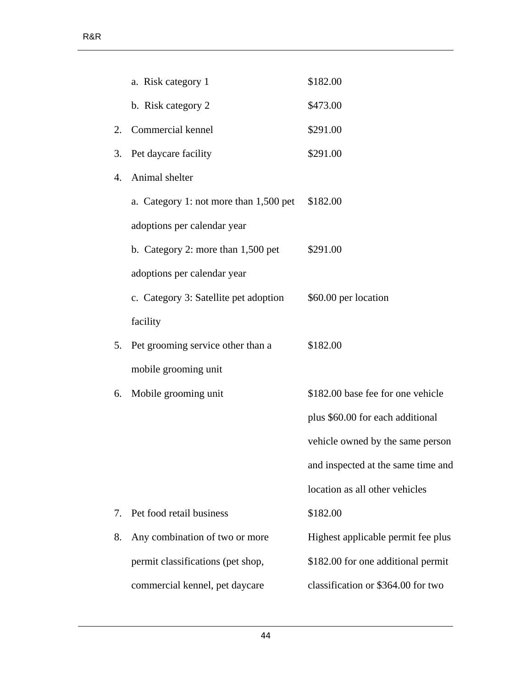|    | a. Risk category 1                     | \$182.00                           |
|----|----------------------------------------|------------------------------------|
|    | b. Risk category 2                     | \$473.00                           |
| 2. | Commercial kennel                      | \$291.00                           |
| 3. | Pet daycare facility                   | \$291.00                           |
| 4. | Animal shelter                         |                                    |
|    | a. Category 1: not more than 1,500 pet | \$182.00                           |
|    | adoptions per calendar year            |                                    |
|    | b. Category 2: more than $1,500$ pet   | \$291.00                           |
|    | adoptions per calendar year            |                                    |
|    | c. Category 3: Satellite pet adoption  | \$60.00 per location               |
|    | facility                               |                                    |
| 5. | Pet grooming service other than a      | \$182.00                           |
|    | mobile grooming unit                   |                                    |
| 6. | Mobile grooming unit                   | \$182.00 base fee for one vehicle  |
|    |                                        | plus \$60.00 for each additional   |
|    |                                        | vehicle owned by the same person   |
|    |                                        | and inspected at the same time and |
|    |                                        | location as all other vehicles     |
| 7. | Pet food retail business               | \$182.00                           |
| 8. | Any combination of two or more         | Highest applicable permit fee plus |
|    | permit classifications (pet shop,      | \$182.00 for one additional permit |
|    | commercial kennel, pet daycare         | classification or \$364.00 for two |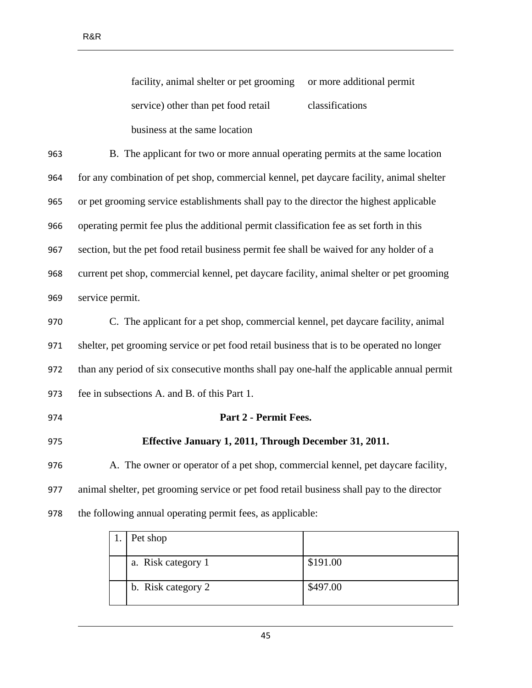facility, animal shelter or pet grooming service) other than pet food retail business at the same location or more additional permit classifications

 B. The applicant for two or more annual operating permits at the same location for any combination of pet shop, commercial kennel, pet daycare facility, animal shelter or pet grooming service establishments shall pay to the director the highest applicable operating permit fee plus the additional permit classification fee as set forth in this section, but the pet food retail business permit fee shall be waived for any holder of a current pet shop, commercial kennel, pet daycare facility, animal shelter or pet grooming service permit.

 C. The applicant for a pet shop, commercial kennel, pet daycare facility, animal shelter, pet grooming service or pet food retail business that is to be operated no longer than any period of six consecutive months shall pay one-half the applicable annual permit fee in subsections A. and B. of this Part 1.

# **Part 2 - Permit Fees.**

## **Effective January 1, 2011, Through December 31, 2011.**

 A. The owner or operator of a pet shop, commercial kennel, pet daycare facility, animal shelter, pet grooming service or pet food retail business shall pay to the director the following annual operating permit fees, as applicable:

| 1. | Pet shop           |          |
|----|--------------------|----------|
|    | a. Risk category 1 | \$191.00 |
|    | b. Risk category 2 | \$497.00 |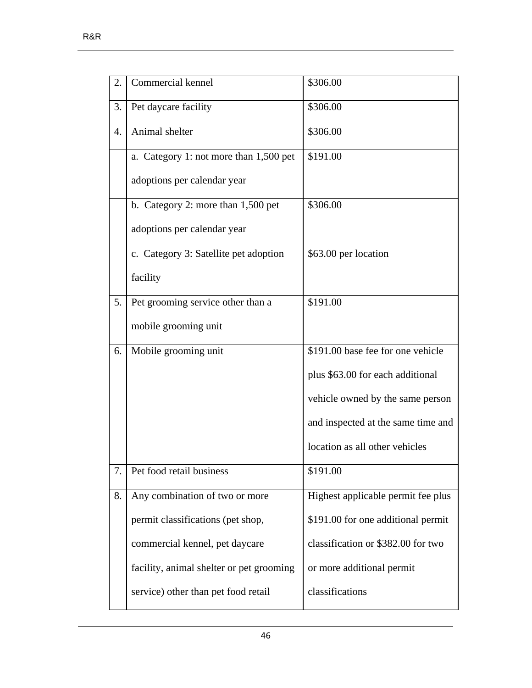| 2. | Commercial kennel                        | \$306.00                           |
|----|------------------------------------------|------------------------------------|
| 3. | Pet daycare facility                     | \$306.00                           |
| 4. | Animal shelter                           | \$306.00                           |
|    | a. Category 1: not more than 1,500 pet   | \$191.00                           |
|    | adoptions per calendar year              |                                    |
|    | b. Category 2: more than $1,500$ pet     | \$306.00                           |
|    | adoptions per calendar year              |                                    |
|    | c. Category 3: Satellite pet adoption    | \$63.00 per location               |
|    | facility                                 |                                    |
| 5. | Pet grooming service other than a        | \$191.00                           |
|    | mobile grooming unit                     |                                    |
| 6. | Mobile grooming unit                     | \$191.00 base fee for one vehicle  |
|    |                                          | plus \$63.00 for each additional   |
|    |                                          | vehicle owned by the same person   |
|    |                                          | and inspected at the same time and |
|    |                                          | location as all other vehicles     |
| 7. | Pet food retail business                 | \$191.00                           |
| 8. | Any combination of two or more           | Highest applicable permit fee plus |
|    | permit classifications (pet shop,        | \$191.00 for one additional permit |
|    | commercial kennel, pet daycare           | classification or \$382.00 for two |
|    | facility, animal shelter or pet grooming | or more additional permit          |
|    | service) other than pet food retail      | classifications                    |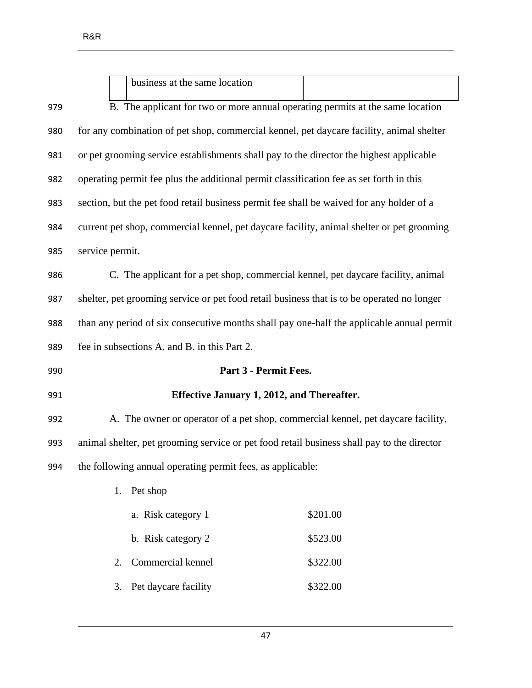|     | business at the same location                                                              |          |  |
|-----|--------------------------------------------------------------------------------------------|----------|--|
| 979 | B. The applicant for two or more annual operating permits at the same location             |          |  |
| 980 | for any combination of pet shop, commercial kennel, pet daycare facility, animal shelter   |          |  |
| 981 | or pet grooming service establishments shall pay to the director the highest applicable    |          |  |
| 982 | operating permit fee plus the additional permit classification fee as set forth in this    |          |  |
| 983 | section, but the pet food retail business permit fee shall be waived for any holder of a   |          |  |
| 984 | current pet shop, commercial kennel, pet daycare facility, animal shelter or pet grooming  |          |  |
| 985 | service permit.                                                                            |          |  |
| 986 | C. The applicant for a pet shop, commercial kennel, pet daycare facility, animal           |          |  |
| 987 | shelter, pet grooming service or pet food retail business that is to be operated no longer |          |  |
| 988 | than any period of six consecutive months shall pay one-half the applicable annual permit  |          |  |
| 989 | fee in subsections A. and B. in this Part 2.                                               |          |  |
| 990 | Part 3 - Permit Fees.                                                                      |          |  |
| 991 | Effective January 1, 2012, and Thereafter.                                                 |          |  |
| 992 | A. The owner or operator of a pet shop, commercial kennel, pet daycare facility,           |          |  |
| 993 | animal shelter, pet grooming service or pet food retail business shall pay to the director |          |  |
| 994 | the following annual operating permit fees, as applicable:                                 |          |  |
|     | Pet shop<br>1.                                                                             |          |  |
|     | a. Risk category 1                                                                         | \$201.00 |  |
|     | b. Risk category 2                                                                         | \$523.00 |  |
|     | Commercial kennel<br>2.                                                                    | \$322.00 |  |
|     | Pet daycare facility<br>3.                                                                 | \$322.00 |  |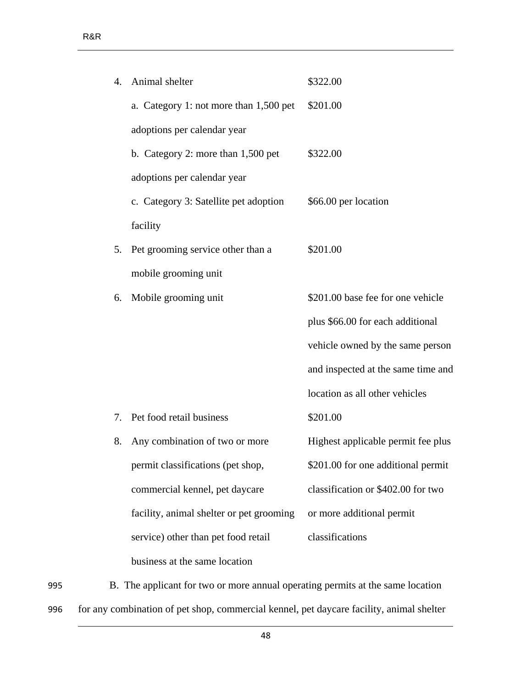|    | 4. Animal shelter                        | \$322.00                           |
|----|------------------------------------------|------------------------------------|
|    | a. Category 1: not more than 1,500 pet   | \$201.00                           |
|    | adoptions per calendar year              |                                    |
|    | b. Category 2: more than $1,500$ pet     | \$322.00                           |
|    | adoptions per calendar year              |                                    |
|    | c. Category 3: Satellite pet adoption    | \$66.00 per location               |
|    | facility                                 |                                    |
| 5. | Pet grooming service other than a        | \$201.00                           |
|    | mobile grooming unit                     |                                    |
| 6. | Mobile grooming unit                     | \$201.00 base fee for one vehicle  |
|    |                                          | plus \$66.00 for each additional   |
|    |                                          | vehicle owned by the same person   |
|    |                                          | and inspected at the same time and |
|    |                                          | location as all other vehicles     |
| 7. | Pet food retail business                 | \$201.00                           |
| 8. | Any combination of two or more           | Highest applicable permit fee plus |
|    | permit classifications (pet shop,        | \$201.00 for one additional permit |
|    | commercial kennel, pet daycare           | classification or \$402.00 for two |
|    | facility, animal shelter or pet grooming | or more additional permit          |
|    | service) other than pet food retail      | classifications                    |
|    | business at the same location            |                                    |

995 B. The applicant for two or more annual operating permits at the same location 996 for any combination of pet shop, commercial kennel, pet daycare facility, animal shelter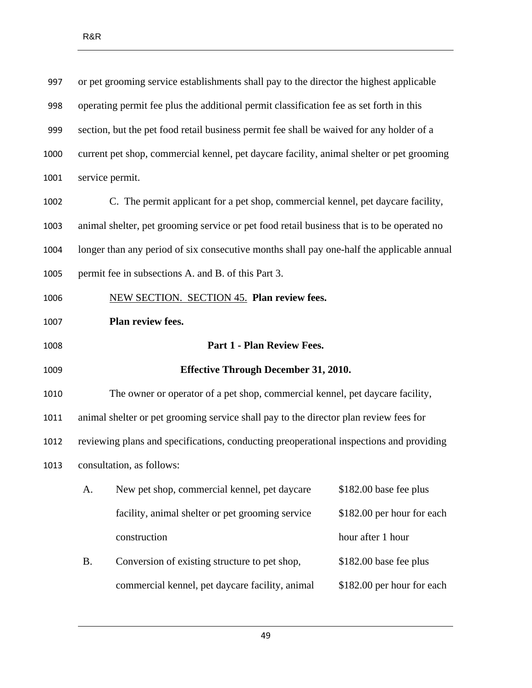| 997  | or pet grooming service establishments shall pay to the director the highest applicable    |  |  |
|------|--------------------------------------------------------------------------------------------|--|--|
| 998  | operating permit fee plus the additional permit classification fee as set forth in this    |  |  |
| 999  | section, but the pet food retail business permit fee shall be waived for any holder of a   |  |  |
| 1000 | current pet shop, commercial kennel, pet daycare facility, animal shelter or pet grooming  |  |  |
| 1001 | service permit.                                                                            |  |  |
| 1002 | C. The permit applicant for a pet shop, commercial kennel, pet daycare facility,           |  |  |
| 1003 | animal shelter, pet grooming service or pet food retail business that is to be operated no |  |  |
| 1004 | longer than any period of six consecutive months shall pay one-half the applicable annual  |  |  |
| 1005 | permit fee in subsections A. and B. of this Part 3.                                        |  |  |
| 1006 | <b>NEW SECTION. SECTION 45. Plan review fees.</b>                                          |  |  |
| 1007 | Plan review fees.                                                                          |  |  |
| 1008 | Part 1 - Plan Review Fees.                                                                 |  |  |
| 1009 | <b>Effective Through December 31, 2010.</b>                                                |  |  |
| 1010 | The owner or operator of a pet shop, commercial kennel, pet daycare facility,              |  |  |
| 1011 | animal shelter or pet grooming service shall pay to the director plan review fees for      |  |  |
| 1012 | reviewing plans and specifications, conducting preoperational inspections and providing    |  |  |
|      |                                                                                            |  |  |
| 1013 | consultation, as follows:                                                                  |  |  |
|      | \$182.00 base fee plus<br>New pet shop, commercial kennel, pet daycare<br>A.               |  |  |
|      | facility, animal shelter or pet grooming service<br>\$182.00 per hour for each             |  |  |
|      | hour after 1 hour<br>construction                                                          |  |  |
|      | \$182.00 base fee plus<br><b>B.</b><br>Conversion of existing structure to pet shop,       |  |  |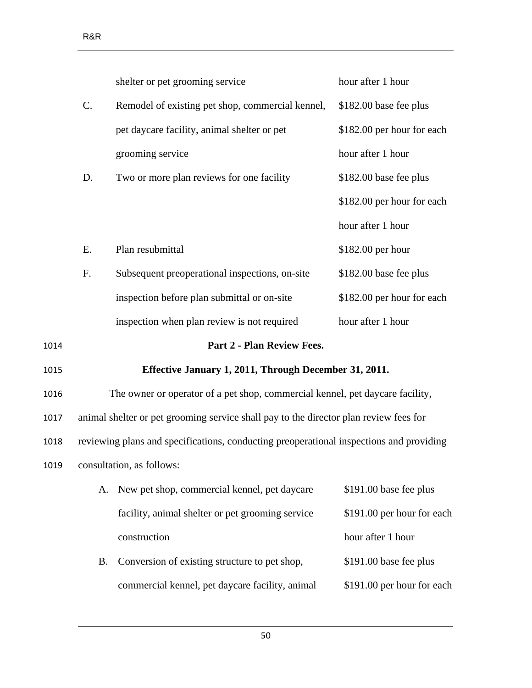|      |    | shelter or pet grooming service                                                         | hour after 1 hour          |
|------|----|-----------------------------------------------------------------------------------------|----------------------------|
|      | C. | Remodel of existing pet shop, commercial kennel,                                        | \$182.00 base fee plus     |
|      |    | pet daycare facility, animal shelter or pet                                             | \$182.00 per hour for each |
|      |    | grooming service                                                                        | hour after 1 hour          |
|      | D. | Two or more plan reviews for one facility                                               | \$182.00 base fee plus     |
|      |    |                                                                                         | \$182.00 per hour for each |
|      |    |                                                                                         | hour after 1 hour          |
|      | E. | Plan resubmittal                                                                        | \$182.00 per hour          |
|      | F. | Subsequent preoperational inspections, on-site                                          | \$182.00 base fee plus     |
|      |    | inspection before plan submittal or on-site                                             | \$182.00 per hour for each |
|      |    | inspection when plan review is not required                                             | hour after 1 hour          |
| 1014 |    | <b>Part 2 - Plan Review Fees.</b>                                                       |                            |
| 1015 |    | Effective January 1, 2011, Through December 31, 2011.                                   |                            |
| 1016 |    | The owner or operator of a pet shop, commercial kennel, pet daycare facility,           |                            |
| 1017 |    | animal shelter or pet grooming service shall pay to the director plan review fees for   |                            |
| 1018 |    | reviewing plans and specifications, conducting preoperational inspections and providing |                            |
| 1019 |    | consultation, as follows:                                                               |                            |
|      | A. | New pet shop, commercial kennel, pet daycare                                            | \$191.00 base fee plus     |
|      |    | facility, animal shelter or pet grooming service                                        | \$191.00 per hour for each |
|      |    | construction                                                                            | hour after 1 hour          |
|      |    |                                                                                         |                            |

B. Conversion of existing structure to pet shop, commercial kennel, pet daycare facility, animal \$191.00 base fee plus \$191.00 per hour for each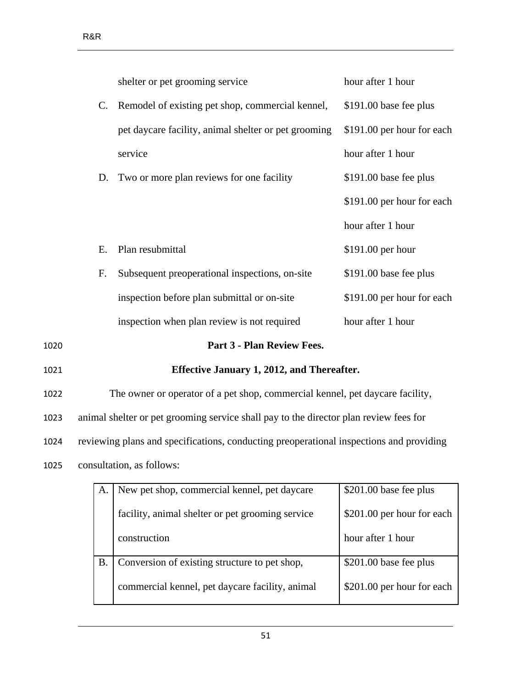|      | shelter or pet grooming service                      | hour after 1 hour          |
|------|------------------------------------------------------|----------------------------|
|      | C. Remodel of existing pet shop, commercial kennel,  | \$191.00 base fee plus     |
|      | pet daycare facility, animal shelter or pet grooming | \$191.00 per hour for each |
|      | service                                              | hour after 1 hour          |
| D.   | Two or more plan reviews for one facility            | \$191.00 base fee plus     |
|      |                                                      | \$191.00 per hour for each |
|      |                                                      | hour after 1 hour          |
| Е.   | Plan resubmittal                                     | $$191.00$ per hour         |
| F.   | Subsequent preoperational inspections, on-site       | \$191.00 base fee plus     |
|      | inspection before plan submittal or on-site          | \$191.00 per hour for each |
|      | inspection when plan review is not required          | hour after 1 hour          |
| 1020 | Part 3 - Plan Review Fees.                           |                            |
| 1021 | Effective January 1, 2012, and Thereafter.           |                            |

1022 The owner or operator of a pet shop, commercial kennel, pet daycare facility,

1023 animal shelter or pet grooming service shall pay to the director plan review fees for

1024 reviewing plans and specifications, conducting preoperational inspections and providing

1025 consultation, as follows:

| А. | New pet shop, commercial kennel, pet daycare     | $$201.00$ base fee plus    |
|----|--------------------------------------------------|----------------------------|
|    | facility, animal shelter or pet grooming service | \$201.00 per hour for each |
|    | construction                                     | hour after 1 hour          |
| Β. | Conversion of existing structure to pet shop,    | $$201.00$ base fee plus    |
|    | commercial kennel, pet daycare facility, animal  | \$201.00 per hour for each |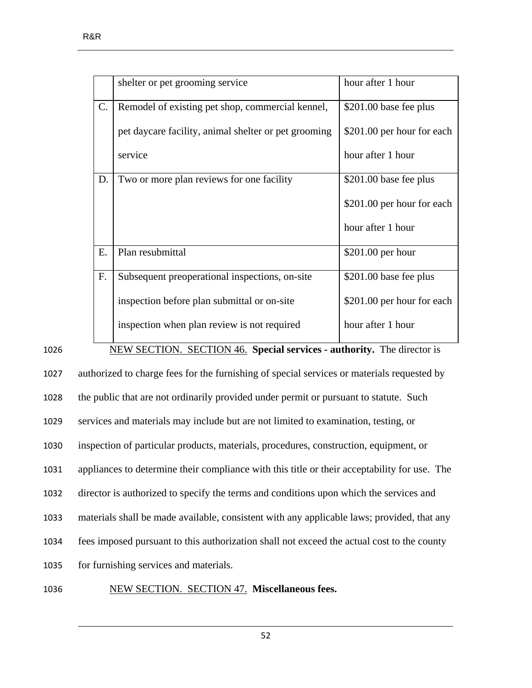|    | shelter or pet grooming service                      | hour after 1 hour          |
|----|------------------------------------------------------|----------------------------|
| C. | Remodel of existing pet shop, commercial kennel,     | \$201.00 base fee plus     |
|    | pet daycare facility, animal shelter or pet grooming | \$201.00 per hour for each |
|    | service                                              | hour after 1 hour          |
| D. | Two or more plan reviews for one facility            | \$201.00 base fee plus     |
|    |                                                      | \$201.00 per hour for each |
|    |                                                      | hour after 1 hour          |
| Ε. | Plan resubmittal                                     | $$201.00$ per hour         |
| F. | Subsequent preoperational inspections, on-site       | \$201.00 base fee plus     |
|    | inspection before plan submittal or on-site          | \$201.00 per hour for each |
|    | inspection when plan review is not required          | hour after 1 hour          |

1026 NEW SECTION. SECTION 46. **Special services - authority.** The director is

 authorized to charge fees for the furnishing of special services or materials requested by the public that are not ordinarily provided under permit or pursuant to statute. Such services and materials may include but are not limited to examination, testing, or inspection of particular products, materials, procedures, construction, equipment, or appliances to determine their compliance with this title or their acceptability for use. The director is authorized to specify the terms and conditions upon which the services and materials shall be made available, consistent with any applicable laws; provided, that any fees imposed pursuant to this authorization shall not exceed the actual cost to the county for furnishing services and materials. NEW SECTION. SECTION 47. **Miscellaneous fees.**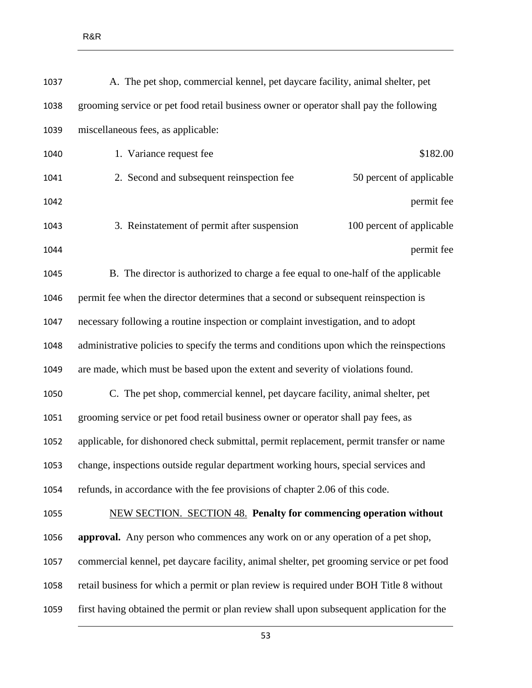| 1037 | A. The pet shop, commercial kennel, pet daycare facility, animal shelter, pet             |                           |
|------|-------------------------------------------------------------------------------------------|---------------------------|
| 1038 | grooming service or pet food retail business owner or operator shall pay the following    |                           |
| 1039 | miscellaneous fees, as applicable:                                                        |                           |
| 1040 | 1. Variance request fee                                                                   | \$182.00                  |
| 1041 | 2. Second and subsequent reinspection fee                                                 | 50 percent of applicable  |
| 1042 |                                                                                           | permit fee                |
| 1043 | 3. Reinstatement of permit after suspension                                               | 100 percent of applicable |
| 1044 |                                                                                           | permit fee                |
| 1045 | B. The director is authorized to charge a fee equal to one-half of the applicable         |                           |
| 1046 | permit fee when the director determines that a second or subsequent reinspection is       |                           |
| 1047 | necessary following a routine inspection or complaint investigation, and to adopt         |                           |
| 1048 | administrative policies to specify the terms and conditions upon which the reinspections  |                           |
| 1049 | are made, which must be based upon the extent and severity of violations found.           |                           |
| 1050 | C. The pet shop, commercial kennel, pet daycare facility, animal shelter, pet             |                           |
| 1051 | grooming service or pet food retail business owner or operator shall pay fees, as         |                           |
| 1052 | applicable, for dishonored check submittal, permit replacement, permit transfer or name   |                           |
| 1053 | change, inspections outside regular department working hours, special services and        |                           |
| 1054 | refunds, in accordance with the fee provisions of chapter 2.06 of this code.              |                           |
| 1055 | <b>NEW SECTION. SECTION 48. Penalty for commencing operation without</b>                  |                           |
| 1056 | approval. Any person who commences any work on or any operation of a pet shop,            |                           |
| 1057 | commercial kennel, pet daycare facility, animal shelter, pet grooming service or pet food |                           |
| 1058 | retail business for which a permit or plan review is required under BOH Title 8 without   |                           |
| 1059 | first having obtained the permit or plan review shall upon subsequent application for the |                           |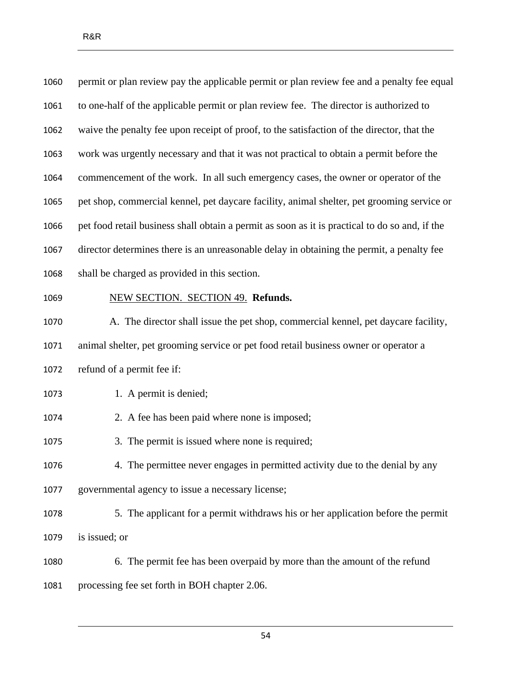| 1060 | permit or plan review pay the applicable permit or plan review fee and a penalty fee equal     |  |
|------|------------------------------------------------------------------------------------------------|--|
| 1061 | to one-half of the applicable permit or plan review fee. The director is authorized to         |  |
| 1062 | waive the penalty fee upon receipt of proof, to the satisfaction of the director, that the     |  |
| 1063 | work was urgently necessary and that it was not practical to obtain a permit before the        |  |
| 1064 | commencement of the work. In all such emergency cases, the owner or operator of the            |  |
| 1065 | pet shop, commercial kennel, pet daycare facility, animal shelter, pet grooming service or     |  |
| 1066 | pet food retail business shall obtain a permit as soon as it is practical to do so and, if the |  |
| 1067 | director determines there is an unreasonable delay in obtaining the permit, a penalty fee      |  |
| 1068 | shall be charged as provided in this section.                                                  |  |
| 1069 | NEW SECTION. SECTION 49. Refunds.                                                              |  |
| 1070 | A. The director shall issue the pet shop, commercial kennel, pet daycare facility,             |  |
| 1071 | animal shelter, pet grooming service or pet food retail business owner or operator a           |  |
| 1072 | refund of a permit fee if:                                                                     |  |
| 1073 | 1. A permit is denied;                                                                         |  |
| 1074 | 2. A fee has been paid where none is imposed;                                                  |  |
| 1075 | 3. The permit is issued where none is required;                                                |  |
| 1076 | 4. The permittee never engages in permitted activity due to the denial by any                  |  |
| 1077 | governmental agency to issue a necessary license;                                              |  |
| 1078 | 5. The applicant for a permit withdraws his or her application before the permit               |  |
| 1079 | is issued; or                                                                                  |  |
|      |                                                                                                |  |
| 1080 | 6. The permit fee has been overpaid by more than the amount of the refund                      |  |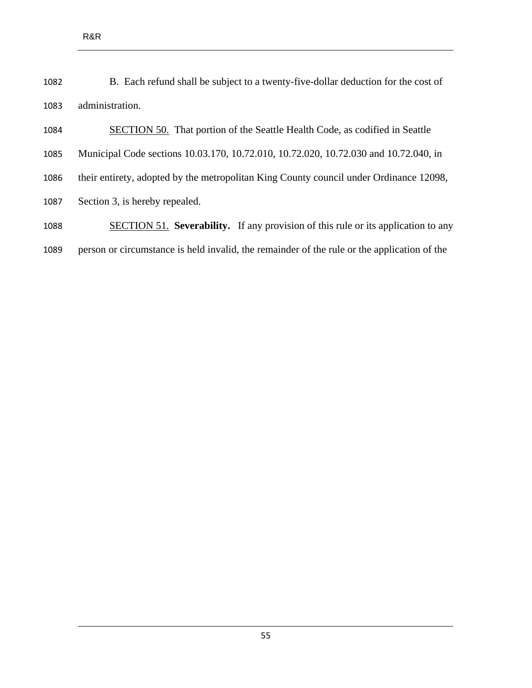| 1082 | B. Each refund shall be subject to a twenty-five-dollar deduction for the cost of |
|------|-----------------------------------------------------------------------------------|
| 1083 | administration.                                                                   |

SECTION 50. That portion of the Seattle Health Code, as codified in Seattle

Municipal Code sections 10.03.170, 10.72.010, 10.72.020, 10.72.030 and 10.72.040, in

- their entirety, adopted by the metropolitan King County council under Ordinance 12098,
- Section 3, is hereby repealed.
- SECTION 51. **Severability.** If any provision of this rule or its application to any person or circumstance is held invalid, the remainder of the rule or the application of the